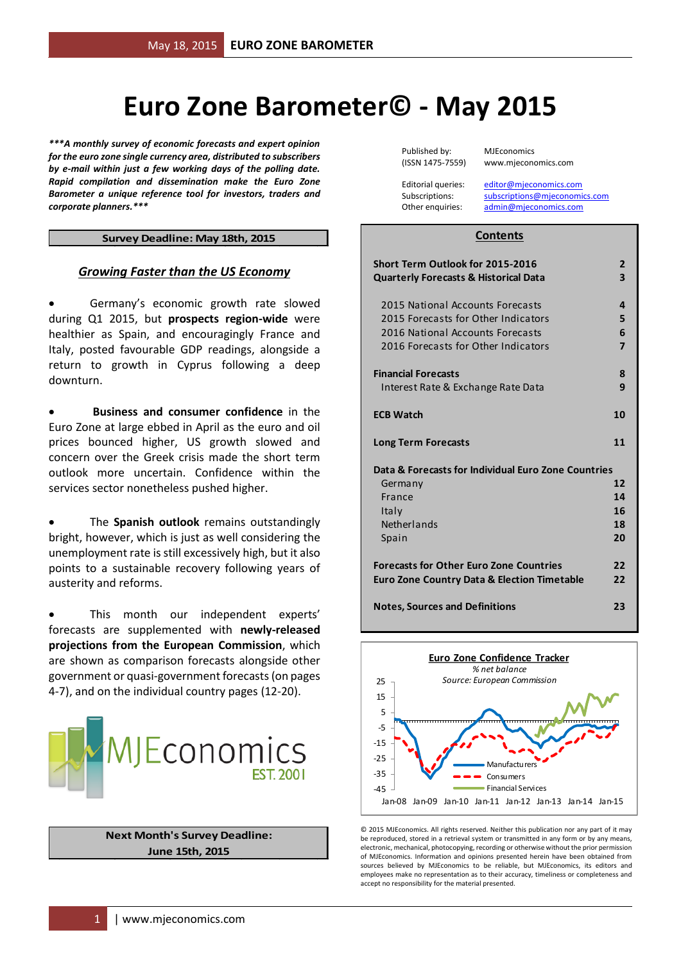## **Euro Zone Barometer© - May 2015**

*\*\*\*A monthly survey of economic forecasts and expert opinion for the euro zone single currency area, distributed to subscribers by e-mail within just a few working days of the polling date. Rapid compilation and dissemination make the Euro Zone Barometer a unique reference tool for investors, traders and corporate planners.\*\*\**

#### **Survey Deadline: May 18th, 2015**

#### *Growing Faster than the US Economy*

 Germany's economic growth rate slowed during Q1 2015, but **prospects region-wide** were healthier as Spain, and encouragingly France and Italy, posted favourable GDP readings, alongside a return to growth in Cyprus following a deep downturn.

 **Business and consumer confidence** in the Euro Zone at large ebbed in April as the euro and oil prices bounced higher, US growth slowed and concern over the Greek crisis made the short term outlook more uncertain. Confidence within the services sector nonetheless pushed higher.

 The **Spanish outlook** remains outstandingly bright, however, which is just as well considering the unemployment rate is still excessively high, but it also points to a sustainable recovery following years of austerity and reforms.

 This month our independent experts' forecasts are supplemented with **newly-released projections from the European Commission**, which are shown as comparison forecasts alongside other government or quasi-government forecasts(on pages 4-7), and on the individual country pages (12-20).



**Next Month's Survey Deadline: June 15th, 2015**

Published by: MJEconomics

(ISSN 1475-7559) www.mjeconomics.com

Editorial queries: [editor@mjeconomics.com](mailto:editor@mjeconomics.com)<br>Subscriptions: subscriptions@mieconomi subscriptions@mieconomics.com Other enquiries: [admin@mjeconomics.com](mailto:admin@mjeconomics.com)

#### **Contents**

| Short Term Outlook for 2015-2016<br><b>Quarterly Forecasts &amp; Historical Data</b>                                                               | $\overline{2}$<br>3 |
|----------------------------------------------------------------------------------------------------------------------------------------------------|---------------------|
| 2015 National Accounts Forecasts<br>2015 Forecasts for Other Indicators<br>2016 National Accounts Forecasts<br>2016 Forecasts for Other Indicators | 4<br>5<br>6<br>7    |
| <b>Financial Forecasts</b><br>Interest Rate & Exchange Rate Data                                                                                   | 8<br>9              |
| <b>ECB Watch</b>                                                                                                                                   | 10                  |
| <b>Long Term Forecasts</b>                                                                                                                         | 11                  |
| Data & Forecasts for Individual Euro Zone Countries                                                                                                |                     |
| Germany                                                                                                                                            | 12                  |
| France                                                                                                                                             | 14                  |
| Italy                                                                                                                                              | 16                  |
| Netherlands                                                                                                                                        | 18                  |
| Spain                                                                                                                                              | 20                  |
| <b>Forecasts for Other Euro Zone Countries</b><br><b>Euro Zone Country Data &amp; Election Timetable</b>                                           | 22<br>22            |
| <b>Notes, Sources and Definitions</b>                                                                                                              | 23                  |



© 2015 MJEconomics. All rights reserved. Neither this publication nor any part of it may be reproduced, stored in a retrieval system or transmitted in any form or by any means electronic, mechanical, photocopying, recording or otherwise without the prior permission of MJEconomics. Information and opinions presented herein have been obtained from sources believed by MJEconomics to be reliable, but MJEconomics, its editors and employees make no representation as to their accuracy, timeliness or completeness and accept no responsibility for the material presented.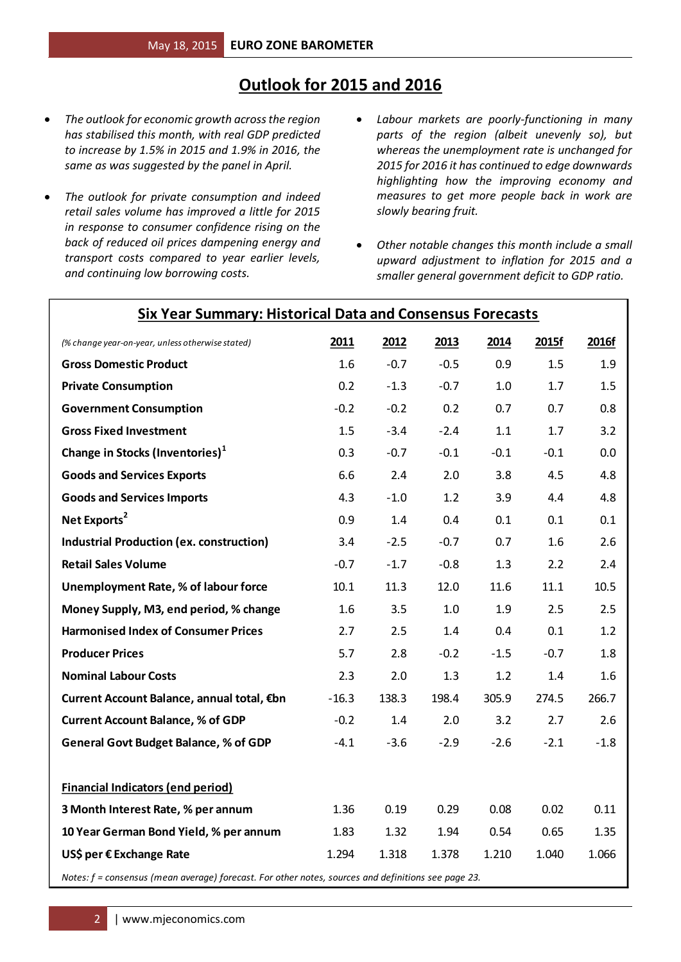#### **Outlook for 2015 and 2016**

**Six Year Summary: Historical Data and Consensus Forecasts**

- *The outlook for economic growth across the region has stabilised this month, with real GDP predicted to increase by 1.5% in 2015 and 1.9% in 2016, the same as was suggested by the panel in April.*
- *The outlook for private consumption and indeed retail sales volume has improved a little for 2015 in response to consumer confidence rising on the back of reduced oil prices dampening energy and transport costs compared to year earlier levels, and continuing low borrowing costs.*
- *Labour markets are poorly-functioning in many parts of the region (albeit unevenly so), but whereas the unemployment rate is unchanged for 2015 for 2016 it has continued to edge downwards highlighting how the improving economy and measures to get more people back in work are slowly bearing fruit.*
- *Other notable changes this month include a small upward adjustment to inflation for 2015 and a smaller general government deficit to GDP ratio.*

| (% change year-on-year, unless otherwise stated)                                                    | 2011    | 2012   | 2013   | 2014   | 2015f  | 2016f  |
|-----------------------------------------------------------------------------------------------------|---------|--------|--------|--------|--------|--------|
| <b>Gross Domestic Product</b>                                                                       | 1.6     | $-0.7$ | $-0.5$ | 0.9    | 1.5    | 1.9    |
| <b>Private Consumption</b>                                                                          | 0.2     | $-1.3$ | $-0.7$ | 1.0    | 1.7    | 1.5    |
| <b>Government Consumption</b>                                                                       | $-0.2$  | $-0.2$ | 0.2    | 0.7    | 0.7    | 0.8    |
| <b>Gross Fixed Investment</b>                                                                       | 1.5     | $-3.4$ | $-2.4$ | 1.1    | 1.7    | 3.2    |
| Change in Stocks (Inventories) <sup>1</sup>                                                         | 0.3     | $-0.7$ | $-0.1$ | $-0.1$ | $-0.1$ | 0.0    |
| <b>Goods and Services Exports</b>                                                                   | 6.6     | 2.4    | 2.0    | 3.8    | 4.5    | 4.8    |
| <b>Goods and Services Imports</b>                                                                   | 4.3     | $-1.0$ | 1.2    | 3.9    | 4.4    | 4.8    |
| Net Exports <sup>2</sup>                                                                            | 0.9     | 1.4    | 0.4    | 0.1    | 0.1    | 0.1    |
| <b>Industrial Production (ex. construction)</b>                                                     | 3.4     | $-2.5$ | $-0.7$ | 0.7    | 1.6    | 2.6    |
| <b>Retail Sales Volume</b>                                                                          | $-0.7$  | $-1.7$ | $-0.8$ | 1.3    | 2.2    | 2.4    |
| <b>Unemployment Rate, % of labour force</b>                                                         | 10.1    | 11.3   | 12.0   | 11.6   | 11.1   | 10.5   |
| Money Supply, M3, end period, % change                                                              | 1.6     | 3.5    | 1.0    | 1.9    | 2.5    | 2.5    |
| <b>Harmonised Index of Consumer Prices</b>                                                          | 2.7     | 2.5    | 1.4    | 0.4    | 0.1    | 1.2    |
| <b>Producer Prices</b>                                                                              | 5.7     | 2.8    | $-0.2$ | $-1.5$ | $-0.7$ | 1.8    |
| <b>Nominal Labour Costs</b>                                                                         | 2.3     | 2.0    | 1.3    | 1.2    | 1.4    | 1.6    |
| Current Account Balance, annual total, €bn                                                          | $-16.3$ | 138.3  | 198.4  | 305.9  | 274.5  | 266.7  |
| <b>Current Account Balance, % of GDP</b>                                                            | $-0.2$  | 1.4    | 2.0    | 3.2    | 2.7    | 2.6    |
| <b>General Govt Budget Balance, % of GDP</b>                                                        | $-4.1$  | $-3.6$ | $-2.9$ | $-2.6$ | $-2.1$ | $-1.8$ |
|                                                                                                     |         |        |        |        |        |        |
| <b>Financial Indicators (end period)</b>                                                            |         |        |        |        |        |        |
| 3 Month Interest Rate, % per annum                                                                  | 1.36    | 0.19   | 0.29   | 0.08   | 0.02   | 0.11   |
| 10 Year German Bond Yield, % per annum                                                              | 1.83    | 1.32   | 1.94   | 0.54   | 0.65   | 1.35   |
| US\$ per € Exchange Rate                                                                            | 1.294   | 1.318  | 1.378  | 1.210  | 1.040  | 1.066  |
| Notes: f = consensus (mean average) forecast. For other notes, sources and definitions see page 23. |         |        |        |        |        |        |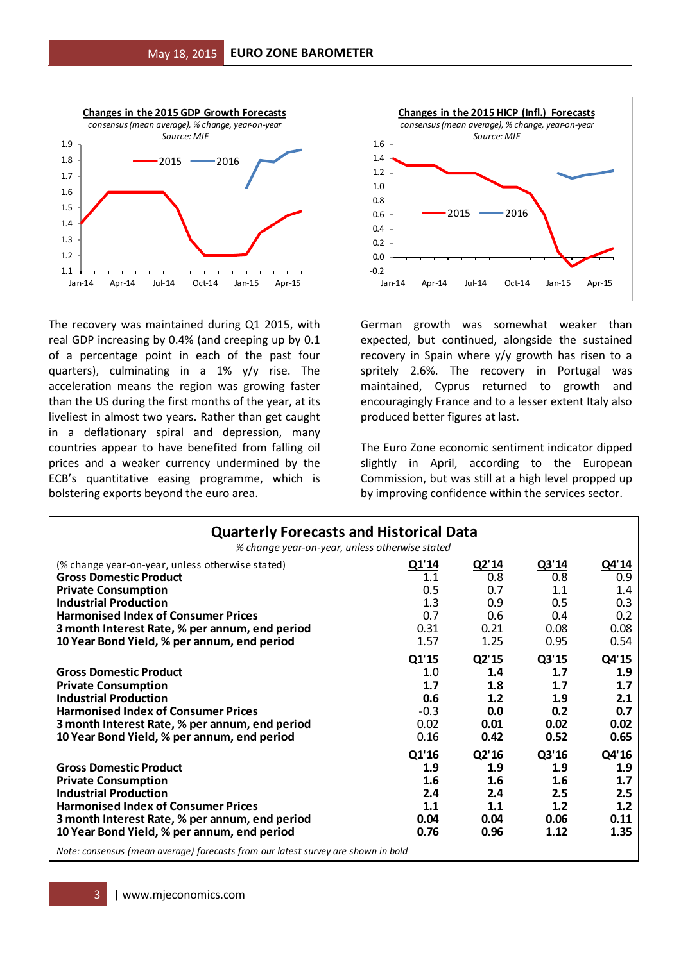

The recovery was maintained during Q1 2015, with real GDP increasing by 0.4% (and creeping up by 0.1 of a percentage point in each of the past four quarters), culminating in a 1% y/y rise. The acceleration means the region was growing faster than the US during the first months of the year, at its liveliest in almost two years. Rather than get caught in a deflationary spiral and depression, many countries appear to have benefited from falling oil prices and a weaker currency undermined by the ECB's quantitative easing programme, which is bolstering exports beyond the euro area.



German growth was somewhat weaker than expected, but continued, alongside the sustained recovery in Spain where y/y growth has risen to a spritely 2.6%. The recovery in Portugal was maintained, Cyprus returned to growth and encouragingly France and to a lesser extent Italy also produced better figures at last.

The Euro Zone economic sentiment indicator dipped slightly in April, according to the European Commission, but was still at a high level propped up by improving confidence within the services sector.

| <b>Quarterly Forecasts and Historical Data</b>                                                                                                                                              |                                              |                                           |                                           |                                           |  |  |  |  |  |
|---------------------------------------------------------------------------------------------------------------------------------------------------------------------------------------------|----------------------------------------------|-------------------------------------------|-------------------------------------------|-------------------------------------------|--|--|--|--|--|
| % change year-on-year, unless otherwise stated                                                                                                                                              |                                              |                                           |                                           |                                           |  |  |  |  |  |
| (% change year-on-year, unless otherwise stated)                                                                                                                                            | Q1'14                                        | Q2'14                                     | Q3'14                                     | Q4'14                                     |  |  |  |  |  |
| <b>Gross Domestic Product</b>                                                                                                                                                               | 1.1                                          | 0.8                                       | 0.8                                       | 0.9                                       |  |  |  |  |  |
| <b>Private Consumption</b>                                                                                                                                                                  | 0.5                                          | 0.7                                       | 1.1                                       | 1.4                                       |  |  |  |  |  |
| <b>Industrial Production</b>                                                                                                                                                                | 1.3                                          | 0.9                                       | 0.5                                       | 0.3                                       |  |  |  |  |  |
| <b>Harmonised Index of Consumer Prices</b>                                                                                                                                                  | 0.7                                          | 0.6                                       | 0.4                                       | 0.2                                       |  |  |  |  |  |
| 3 month Interest Rate, % per annum, end period                                                                                                                                              | 0.31                                         | 0.21                                      | 0.08                                      | 0.08                                      |  |  |  |  |  |
| 10 Year Bond Yield, % per annum, end period                                                                                                                                                 | 1.57                                         | 1.25                                      | 0.95                                      | 0.54                                      |  |  |  |  |  |
| <b>Gross Domestic Product</b><br><b>Private Consumption</b><br><b>Industrial Production</b><br><b>Harmonised Index of Consumer Prices</b><br>3 month Interest Rate, % per annum, end period | Q1'15<br>1.0<br>1.7<br>0.6<br>$-0.3$<br>0.02 | Q2'15<br>1.4<br>1.8<br>1.2<br>0.0<br>0.01 | Q3'15<br>1.7<br>1.7<br>1.9<br>0.2<br>0.02 | Q4'15<br>1.9<br>1.7<br>2.1<br>0.7<br>0.02 |  |  |  |  |  |
| 10 Year Bond Yield, % per annum, end period                                                                                                                                                 | 0.16                                         | 0.42                                      | 0.52                                      | 0.65                                      |  |  |  |  |  |
|                                                                                                                                                                                             | Q1'16                                        | Q2'16                                     | Q3'16                                     | Q4'16                                     |  |  |  |  |  |
| <b>Gross Domestic Product</b>                                                                                                                                                               | 1.9                                          | 1.9                                       | 1.9                                       | 1.9                                       |  |  |  |  |  |
| <b>Private Consumption</b>                                                                                                                                                                  | 1.6                                          | 1.6                                       | 1.6                                       | 1.7                                       |  |  |  |  |  |
| <b>Industrial Production</b>                                                                                                                                                                | 2.4                                          | 2.4                                       | 2.5                                       | 2.5                                       |  |  |  |  |  |
| <b>Harmonised Index of Consumer Prices</b>                                                                                                                                                  | 1.1                                          | 1.1                                       | 1.2                                       | 1.2                                       |  |  |  |  |  |
| 3 month Interest Rate, % per annum, end period                                                                                                                                              | 0.04                                         | 0.04                                      | 0.06                                      | 0.11                                      |  |  |  |  |  |
| 10 Year Bond Yield, % per annum, end period                                                                                                                                                 | 0.76                                         | 0.96                                      | 1.12                                      | 1.35                                      |  |  |  |  |  |
| Note: consensus (mean average) forecasts from our latest survey are shown in bold                                                                                                           |                                              |                                           |                                           |                                           |  |  |  |  |  |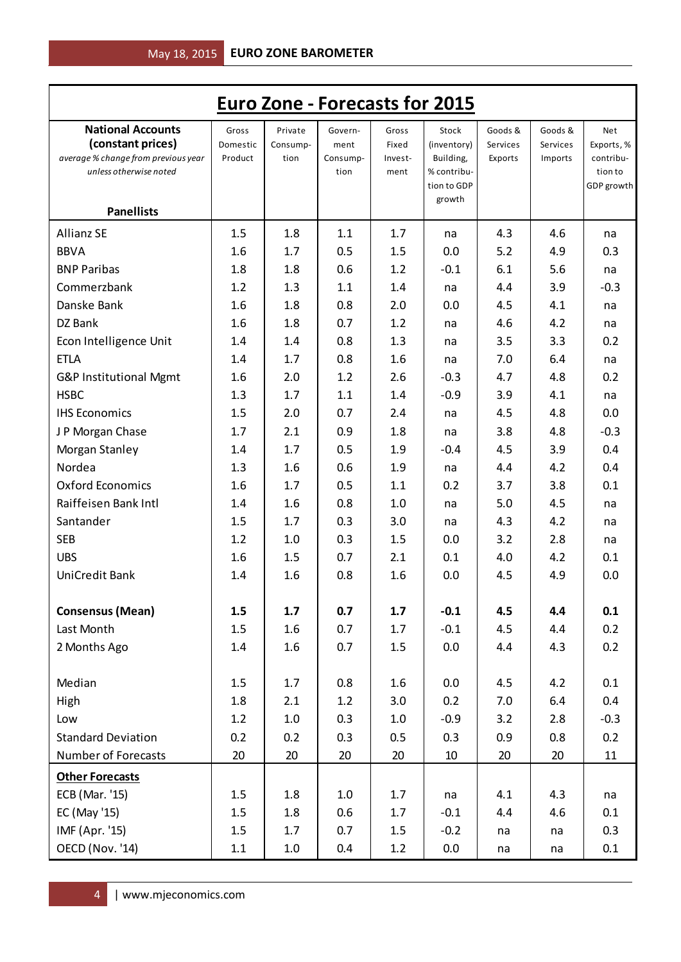|                                                                                                                                     |                              |                             |                                     |                                   | <b>Euro Zone - Forecasts for 2015</b>                                     |                                |                                |                                                                |
|-------------------------------------------------------------------------------------------------------------------------------------|------------------------------|-----------------------------|-------------------------------------|-----------------------------------|---------------------------------------------------------------------------|--------------------------------|--------------------------------|----------------------------------------------------------------|
| <b>National Accounts</b><br>(constant prices)<br>average % change from previous year<br>unless otherwise noted<br><b>Panellists</b> | Gross<br>Domestic<br>Product | Private<br>Consump-<br>tion | Govern-<br>ment<br>Consump-<br>tion | Gross<br>Fixed<br>Invest-<br>ment | Stock<br>(inventory)<br>Building,<br>% contribu-<br>tion to GDP<br>growth | Goods &<br>Services<br>Exports | Goods &<br>Services<br>Imports | <b>Net</b><br>Exports, %<br>contribu-<br>tion to<br>GDP growth |
|                                                                                                                                     |                              |                             |                                     |                                   |                                                                           |                                |                                |                                                                |
| <b>Allianz SE</b>                                                                                                                   | 1.5                          | 1.8                         | 1.1                                 | 1.7                               | na                                                                        | 4.3                            | 4.6                            | na                                                             |
| <b>BBVA</b>                                                                                                                         | 1.6                          | 1.7                         | 0.5                                 | 1.5                               | 0.0                                                                       | 5.2                            | 4.9                            | 0.3                                                            |
| <b>BNP Paribas</b>                                                                                                                  | 1.8                          | 1.8                         | 0.6                                 | 1.2                               | $-0.1$                                                                    | 6.1                            | 5.6                            | na                                                             |
| Commerzbank                                                                                                                         | 1.2                          | 1.3                         | 1.1                                 | 1.4                               | na                                                                        | 4.4                            | 3.9                            | $-0.3$                                                         |
| Danske Bank                                                                                                                         | 1.6                          | 1.8                         | 0.8                                 | 2.0                               | 0.0                                                                       | 4.5                            | 4.1                            | na                                                             |
| DZ Bank                                                                                                                             | 1.6                          | 1.8                         | 0.7                                 | 1.2                               | na                                                                        | 4.6                            | 4.2                            | na                                                             |
| Econ Intelligence Unit                                                                                                              | 1.4                          | 1.4                         | 0.8                                 | 1.3                               | na                                                                        | 3.5                            | 3.3                            | 0.2                                                            |
| <b>ETLA</b>                                                                                                                         | 1.4                          | 1.7                         | 0.8                                 | 1.6                               | na                                                                        | 7.0                            | 6.4                            | na                                                             |
| G&P Institutional Mgmt                                                                                                              | 1.6                          | 2.0                         | 1.2                                 | 2.6                               | $-0.3$                                                                    | 4.7                            | 4.8                            | 0.2                                                            |
| <b>HSBC</b>                                                                                                                         | 1.3                          | 1.7                         | 1.1                                 | 1.4                               | $-0.9$                                                                    | 3.9                            | 4.1                            | na                                                             |
| <b>IHS Economics</b>                                                                                                                | 1.5                          | 2.0                         | 0.7                                 | 2.4                               | na                                                                        | 4.5                            | 4.8                            | 0.0                                                            |
| J P Morgan Chase                                                                                                                    | 1.7                          | 2.1                         | 0.9                                 | 1.8                               | na                                                                        | 3.8                            | 4.8                            | $-0.3$                                                         |
| Morgan Stanley                                                                                                                      | 1.4                          | 1.7                         | 0.5                                 | 1.9                               | $-0.4$                                                                    | 4.5                            | 3.9                            | 0.4                                                            |
| Nordea                                                                                                                              | 1.3                          | 1.6                         | 0.6                                 | 1.9                               | na                                                                        | 4.4                            | 4.2                            | 0.4                                                            |
| <b>Oxford Economics</b>                                                                                                             | 1.6                          | 1.7                         | 0.5                                 | 1.1                               | 0.2                                                                       | 3.7                            | 3.8                            | 0.1                                                            |
| Raiffeisen Bank Intl                                                                                                                | 1.4                          | 1.6                         | 0.8                                 | 1.0                               | na                                                                        | 5.0                            | 4.5                            | na                                                             |
| Santander                                                                                                                           | 1.5                          | 1.7                         | 0.3                                 | 3.0                               | na                                                                        | 4.3                            | 4.2                            | na                                                             |
| <b>SEB</b>                                                                                                                          | 1.2                          | 1.0                         | 0.3                                 | 1.5                               | 0.0                                                                       | 3.2                            | 2.8                            | na                                                             |
| <b>UBS</b>                                                                                                                          | 1.6                          | 1.5                         | 0.7                                 | 2.1                               | 0.1                                                                       | 4.0                            | 4.2                            | 0.1                                                            |
| UniCredit Bank                                                                                                                      | 1.4                          | 1.6                         | 0.8                                 | 1.6                               | 0.0                                                                       | 4.5                            | 4.9                            | 0.0                                                            |
| <b>Consensus (Mean)</b>                                                                                                             | 1.5                          | 1.7                         | 0.7                                 | 1.7                               | $-0.1$                                                                    | 4.5                            | 4.4                            | 0.1                                                            |
| Last Month                                                                                                                          | 1.5                          | $1.6\phantom{0}$            | 0.7                                 | 1.7                               | $-0.1$                                                                    | 4.5                            | 4.4                            | 0.2                                                            |
| 2 Months Ago                                                                                                                        | 1.4                          | $1.6\phantom{0}$            | 0.7                                 | 1.5                               | 0.0                                                                       | 4.4                            | 4.3                            | 0.2                                                            |
| Median                                                                                                                              | 1.5                          | 1.7                         | 0.8                                 | 1.6                               | 0.0                                                                       | 4.5                            | 4.2                            | 0.1                                                            |
| High                                                                                                                                | 1.8                          | 2.1                         | 1.2                                 | 3.0                               | 0.2                                                                       | 7.0                            | 6.4                            | 0.4                                                            |
| Low                                                                                                                                 | 1.2                          | 1.0                         | 0.3                                 | 1.0                               | $-0.9$                                                                    | 3.2                            | 2.8                            | $-0.3$                                                         |
| <b>Standard Deviation</b>                                                                                                           | 0.2                          | 0.2                         | 0.3                                 | 0.5                               | 0.3                                                                       | 0.9                            | 0.8                            | 0.2                                                            |
| <b>Number of Forecasts</b>                                                                                                          | 20                           | 20                          | 20                                  | 20                                | 10                                                                        | 20                             | 20                             | 11                                                             |
| <b>Other Forecasts</b>                                                                                                              |                              |                             |                                     |                                   |                                                                           |                                |                                |                                                                |
| ECB (Mar. '15)                                                                                                                      | 1.5                          | 1.8                         | $1.0\,$                             | 1.7                               | na                                                                        | 4.1                            | 4.3                            | na                                                             |
| EC (May '15)                                                                                                                        | 1.5                          | 1.8                         | 0.6                                 | 1.7                               | $-0.1$                                                                    | 4.4                            | 4.6                            | 0.1                                                            |
| IMF (Apr. '15)                                                                                                                      | 1.5                          | 1.7                         | 0.7                                 | 1.5                               | $-0.2$                                                                    | na                             | na                             | 0.3                                                            |
| OECD (Nov. '14)                                                                                                                     | 1.1                          | 1.0                         | 0.4                                 | 1.2                               | 0.0                                                                       | na                             | na                             | 0.1                                                            |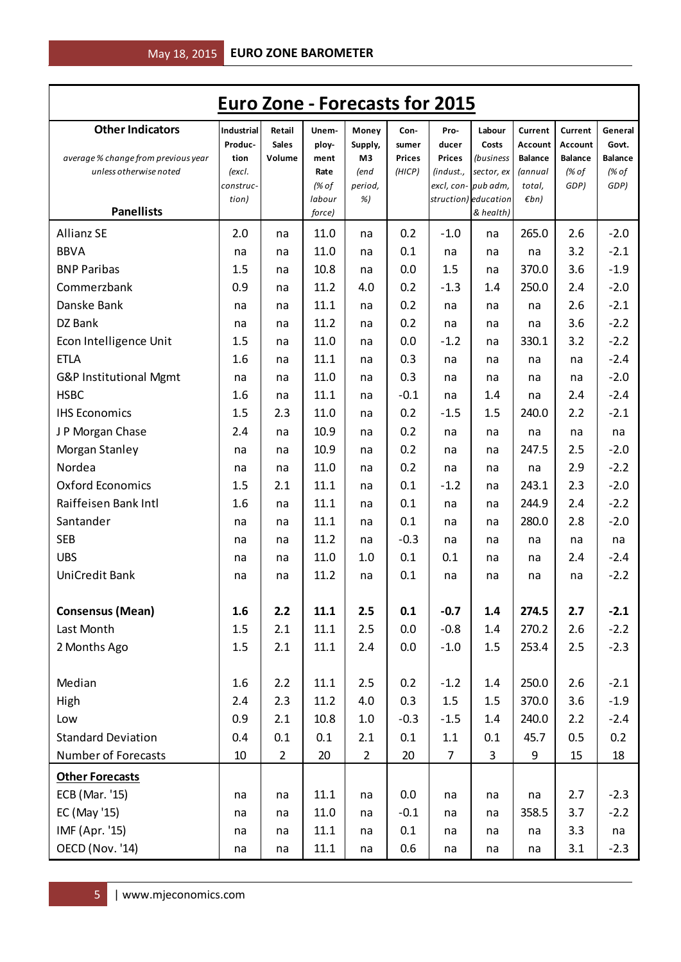| <b>Euro Zone - Forecasts for 2015</b>                                                         |                      |                      |                              |                                        |                             |                            |                         |                           |                                    |                                  |
|-----------------------------------------------------------------------------------------------|----------------------|----------------------|------------------------------|----------------------------------------|-----------------------------|----------------------------|-------------------------|---------------------------|------------------------------------|----------------------------------|
| <b>Other Indicators</b>                                                                       | Industrial           | Retail               | Unem-                        | Money                                  | Con-                        | Pro-                       | Labour                  | Current                   | Current                            | General                          |
|                                                                                               | Produc-              | <b>Sales</b>         | ploy-                        | Supply,                                | sumer                       | ducer                      | Costs                   | Account                   | <b>Account</b>                     | Govt.                            |
| average % change from previous year<br>unless otherwise noted                                 | tion<br>(excl.       | Volume               | ment<br>Rate                 | M3<br>(end                             | <b>Prices</b><br>(HICP)     | <b>Prices</b><br>(indust., | (business<br>sector, ex | <b>Balance</b><br>(annual | <b>Balance</b><br>$\frac{1}{6}$ of | <b>Balance</b><br>(% of          |
|                                                                                               | construc-            |                      | (% of                        | period,                                |                             |                            | excl, con- pub adm,     | total,                    | GDP)                               | GDP)                             |
|                                                                                               | tion)                |                      | labour                       | %)                                     |                             |                            | struction) education    | $\n  Emb\n$               |                                    |                                  |
| <b>Panellists</b>                                                                             |                      |                      | force)                       |                                        |                             |                            | & health)               |                           |                                    |                                  |
| <b>Allianz SE</b>                                                                             | 2.0                  | na                   | 11.0                         | na                                     | 0.2                         | $-1.0$                     | na                      | 265.0                     | 2.6                                | $-2.0$                           |
| <b>BBVA</b>                                                                                   | na                   | na                   | 11.0                         | na                                     | 0.1                         | na                         | na                      | na                        | 3.2                                | $-2.1$                           |
| <b>BNP Paribas</b>                                                                            | 1.5                  | na                   | 10.8                         | na                                     | 0.0                         | 1.5                        | na                      | 370.0                     | 3.6                                | $-1.9$                           |
| Commerzbank                                                                                   | 0.9                  | na                   | 11.2                         | 4.0                                    | 0.2                         | $-1.3$                     | 1.4                     | 250.0                     | 2.4                                | $-2.0$                           |
| Danske Bank                                                                                   | na                   | na                   | 11.1                         | na                                     | 0.2                         | na                         | na                      | na                        | 2.6                                | $-2.1$                           |
| DZ Bank                                                                                       | na                   | na                   | 11.2                         | na                                     | 0.2                         | na                         | na                      | na                        | 3.6                                | $-2.2$                           |
| Econ Intelligence Unit                                                                        | 1.5                  | na                   | 11.0                         | na                                     | 0.0                         | $-1.2$                     | na                      | 330.1                     | 3.2                                | $-2.2$                           |
| <b>ETLA</b>                                                                                   | 1.6                  | na                   | 11.1                         | na                                     | 0.3                         | na                         | na                      | na                        | na                                 | $-2.4$                           |
| G&P Institutional Mgmt                                                                        | na                   | na                   | 11.0                         | na                                     | 0.3                         | na                         | na                      | na                        | na                                 | $-2.0$                           |
| <b>HSBC</b>                                                                                   | 1.6                  | na                   | 11.1                         | na                                     | $-0.1$                      | na                         | 1.4                     | na                        | 2.4                                | $-2.4$                           |
| <b>IHS Economics</b>                                                                          | 1.5                  | 2.3                  | 11.0                         | na                                     | 0.2                         | $-1.5$                     | 1.5                     | 240.0                     | 2.2                                | $-2.1$                           |
| J P Morgan Chase                                                                              | 2.4                  | na                   | 10.9                         | na                                     | 0.2                         | na                         | na                      | na                        | na                                 | na                               |
| Morgan Stanley                                                                                | na                   | na                   | 10.9                         | na                                     | 0.2                         | na                         | na                      | 247.5                     | 2.5                                | $-2.0$                           |
| Nordea                                                                                        | na                   | na                   | 11.0                         | na                                     | 0.2                         | na                         | na                      | na                        | 2.9                                | $-2.2$                           |
| <b>Oxford Economics</b>                                                                       | 1.5                  | 2.1                  | 11.1                         | na                                     | 0.1                         | $-1.2$                     | na                      | 243.1                     | 2.3                                | $-2.0$                           |
| Raiffeisen Bank Intl                                                                          | 1.6                  | na                   | 11.1                         | na                                     | 0.1                         | na                         | na                      | 244.9                     | 2.4                                | $-2.2$                           |
| Santander                                                                                     | na                   | na                   | 11.1                         | na                                     | 0.1                         | na                         | na                      | 280.0                     | 2.8                                | $-2.0$                           |
| <b>SEB</b>                                                                                    | na                   | na                   | 11.2                         | na                                     | $-0.3$                      | na                         | na                      | na                        | na                                 | na                               |
| <b>UBS</b>                                                                                    | na                   | na                   | 11.0                         | 1.0                                    | 0.1                         | 0.1                        | na                      | na                        | 2.4                                | $-2.4$                           |
| <b>UniCredit Bank</b>                                                                         | na                   | na                   | 11.2                         | na                                     | 0.1                         | na                         | na                      | na                        | na                                 | $-2.2$                           |
|                                                                                               |                      |                      |                              |                                        |                             |                            |                         |                           |                                    |                                  |
| <b>Consensus (Mean)</b>                                                                       | 1.6                  | 2.2                  | 11.1                         | 2.5                                    | 0.1                         | $-0.7$                     | 1.4                     | 274.5                     | 2.7                                | $-2.1$                           |
| Last Month                                                                                    | 1.5                  | 2.1                  | 11.1                         | 2.5                                    | 0.0                         | $-0.8$                     | 1.4                     | 270.2                     | 2.6                                | $-2.2$                           |
| 2 Months Ago                                                                                  | 1.5                  | 2.1                  | 11.1                         | 2.4                                    | 0.0                         | $-1.0$                     | 1.5                     | 253.4                     | 2.5                                | $-2.3$                           |
|                                                                                               |                      |                      |                              |                                        |                             |                            |                         |                           |                                    |                                  |
| Median                                                                                        | 1.6                  | 2.2                  | 11.1                         | 2.5                                    | 0.2                         | $-1.2$                     | 1.4                     | 250.0                     | 2.6                                | $-2.1$                           |
| High                                                                                          | 2.4                  | 2.3                  | 11.2                         | 4.0                                    | 0.3                         | 1.5                        | 1.5                     | 370.0                     | 3.6                                | $-1.9$                           |
| Low                                                                                           | 0.9                  | 2.1                  | 10.8                         | $1.0\,$                                | $-0.3$                      | $-1.5$                     | 1.4                     | 240.0                     | 2.2                                | $-2.4$                           |
| <b>Standard Deviation</b>                                                                     | 0.4                  | 0.1                  | 0.1                          | 2.1                                    | 0.1                         | 1.1                        | 0.1                     | 45.7                      | 0.5                                | 0.2                              |
| Number of Forecasts                                                                           | 10                   | $\overline{2}$       | 20                           |                                        | 20                          | $\overline{7}$             | $\overline{3}$          | 9                         | 15                                 | 18                               |
|                                                                                               |                      |                      |                              |                                        |                             |                            |                         |                           |                                    |                                  |
|                                                                                               |                      |                      |                              |                                        |                             |                            |                         |                           |                                    |                                  |
|                                                                                               |                      |                      |                              |                                        |                             |                            |                         |                           |                                    |                                  |
|                                                                                               |                      |                      |                              |                                        |                             |                            |                         |                           |                                    |                                  |
|                                                                                               |                      |                      |                              |                                        |                             |                            |                         |                           |                                    |                                  |
| <b>Other Forecasts</b><br>ECB (Mar. '15)<br>EC (May '15)<br>IMF (Apr. '15)<br>OECD (Nov. '14) | na<br>na<br>na<br>na | na<br>na<br>na<br>na | 11.1<br>11.0<br>11.1<br>11.1 | $\overline{2}$<br>na<br>na<br>na<br>na | 0.0<br>$-0.1$<br>0.1<br>0.6 | na<br>na<br>na<br>na       | na<br>na<br>na<br>na    | na<br>358.5<br>na<br>na   | 2.7<br>3.7<br>3.3<br>3.1           | $-2.3$<br>$-2.2$<br>na<br>$-2.3$ |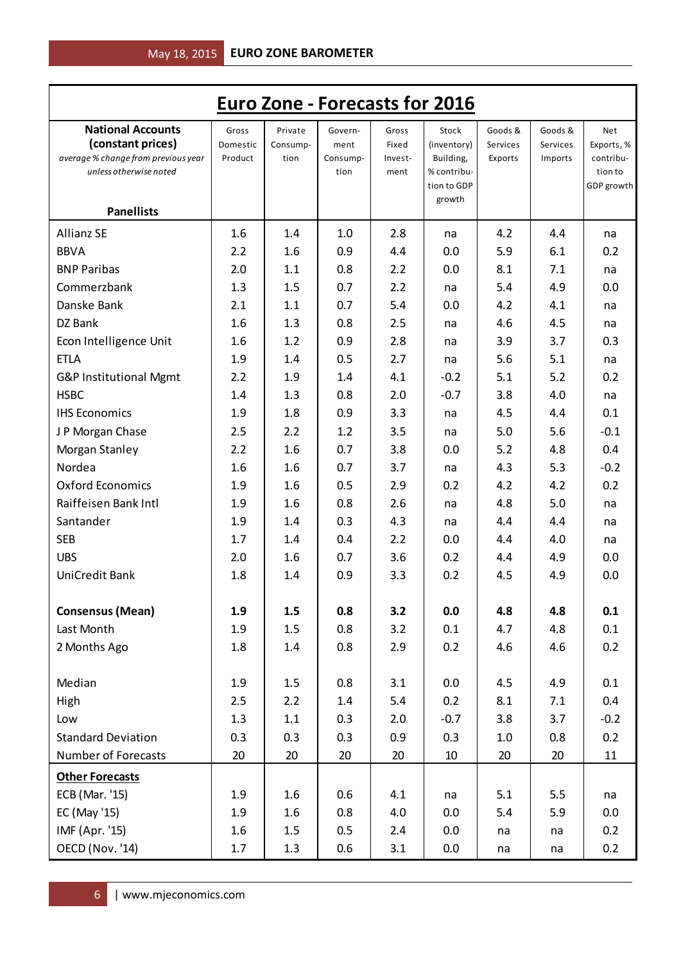|                                                                                                                |                              |                             |                                     |                                   | <b>Euro Zone - Forecasts for 2016</b>                                     |                                |                                |                                                                |
|----------------------------------------------------------------------------------------------------------------|------------------------------|-----------------------------|-------------------------------------|-----------------------------------|---------------------------------------------------------------------------|--------------------------------|--------------------------------|----------------------------------------------------------------|
| <b>National Accounts</b><br>(constant prices)<br>average % change from previous year<br>unless otherwise noted | Gross<br>Domestic<br>Product | Private<br>Consump-<br>tion | Govern-<br>ment<br>Consump-<br>tion | Gross<br>Fixed<br>Invest-<br>ment | Stock<br>(inventory)<br>Building,<br>% contribu-<br>tion to GDP<br>growth | Goods &<br>Services<br>Exports | Goods &<br>Services<br>Imports | <b>Net</b><br>Exports, %<br>contribu-<br>tion to<br>GDP growth |
| <b>Panellists</b>                                                                                              |                              |                             |                                     |                                   |                                                                           |                                |                                |                                                                |
| <b>Allianz SE</b>                                                                                              | 1.6                          | 1.4                         | 1.0                                 | 2.8                               | na                                                                        | 4.2                            | 4.4                            | na                                                             |
| <b>BBVA</b>                                                                                                    | 2.2                          | 1.6                         | 0.9                                 | 4.4                               | 0.0                                                                       | 5.9                            | 6.1                            | 0.2                                                            |
| <b>BNP Paribas</b>                                                                                             | 2.0                          | 1.1                         | 0.8                                 | 2.2                               | 0.0                                                                       | 8.1                            | 7.1                            | na                                                             |
| Commerzbank                                                                                                    | 1.3                          | 1.5                         | 0.7                                 | 2.2                               | na                                                                        | 5.4                            | 4.9                            | 0.0                                                            |
| Danske Bank                                                                                                    | 2.1                          | 1.1                         | 0.7                                 | 5.4                               | 0.0                                                                       | 4.2                            | 4.1                            | na                                                             |
| DZ Bank                                                                                                        | 1.6                          | 1.3                         | 0.8                                 | 2.5                               | na                                                                        | 4.6                            | 4.5                            | na                                                             |
| Econ Intelligence Unit                                                                                         | 1.6                          | 1.2                         | 0.9                                 | 2.8                               | na                                                                        | 3.9                            | 3.7                            | 0.3                                                            |
| <b>ETLA</b>                                                                                                    | 1.9                          | 1.4                         | 0.5                                 | 2.7                               | na                                                                        | 5.6                            | 5.1                            | na                                                             |
| G&P Institutional Mgmt                                                                                         | 2.2                          | 1.9                         | 1.4                                 | 4.1                               | $-0.2$                                                                    | 5.1                            | 5.2                            | 0.2                                                            |
| <b>HSBC</b>                                                                                                    | 1.4                          | 1.3                         | 0.8                                 | 2.0                               | $-0.7$                                                                    | 3.8                            | 4.0                            | na                                                             |
| <b>IHS Economics</b>                                                                                           | 1.9                          | 1.8                         | 0.9                                 | 3.3                               | na                                                                        | 4.5                            | 4.4                            | 0.1                                                            |
| J P Morgan Chase                                                                                               | 2.5                          | 2.2                         | 1.2                                 | 3.5                               | na                                                                        | 5.0                            | 5.6                            | $-0.1$                                                         |
| Morgan Stanley                                                                                                 | 2.2                          | 1.6                         | 0.7                                 | 3.8                               | 0.0                                                                       | 5.2                            | 4.8                            | 0.4                                                            |
| Nordea                                                                                                         | 1.6                          | 1.6                         | 0.7                                 | 3.7                               | na                                                                        | 4.3                            | 5.3                            | $-0.2$                                                         |
| <b>Oxford Economics</b>                                                                                        | 1.9                          | 1.6                         | 0.5                                 | 2.9                               | 0.2                                                                       | 4.2                            | 4.2                            | 0.2                                                            |
| Raiffeisen Bank Intl                                                                                           | 1.9                          | 1.6                         | 0.8                                 | 2.6                               | na                                                                        | 4.8                            | 5.0                            | na                                                             |
| Santander                                                                                                      | 1.9                          | 1.4                         | 0.3                                 | 4.3                               | na                                                                        | 4.4                            | 4.4                            | na                                                             |
| <b>SEB</b>                                                                                                     | 1.7                          | 1.4                         | 0.4                                 | 2.2                               | 0.0                                                                       | 4.4                            | 4.0                            | na                                                             |
| <b>UBS</b>                                                                                                     | 2.0                          | 1.6                         | 0.7                                 | 3.6                               | 0.2                                                                       | 4.4                            | 4.9                            | 0.0                                                            |
| UniCredit Bank                                                                                                 | 1.8                          | 1.4                         | 0.9                                 | 3.3                               | 0.2                                                                       | 4.5                            | 4.9                            | 0.0                                                            |
| <b>Consensus (Mean)</b>                                                                                        | 1.9                          | 1.5                         | 0.8                                 | 3.2                               | 0.0                                                                       | 4.8                            | 4.8                            | 0.1                                                            |
| Last Month                                                                                                     | 1.9                          | 1.5                         | 0.8                                 | 3.2                               | 0.1                                                                       | 4.7                            | 4.8                            | 0.1                                                            |
| 2 Months Ago                                                                                                   | 1.8                          | 1.4                         | 0.8                                 | 2.9                               | 0.2                                                                       | 4.6                            | 4.6                            | 0.2                                                            |
| Median                                                                                                         | 1.9                          | 1.5                         | 0.8                                 | 3.1                               | 0.0                                                                       | 4.5                            | 4.9                            | 0.1                                                            |
| High                                                                                                           | 2.5                          | 2.2                         | 1.4                                 | 5.4                               | 0.2                                                                       | 8.1                            | 7.1                            | 0.4                                                            |
| Low                                                                                                            | 1.3                          | 1.1                         | 0.3                                 | 2.0                               | $-0.7$                                                                    | 3.8                            | 3.7                            | $-0.2$                                                         |
| <b>Standard Deviation</b>                                                                                      | 0.3                          | 0.3                         | 0.3                                 | 0.9                               | 0.3                                                                       | 1.0                            | 0.8                            | 0.2                                                            |
| <b>Number of Forecasts</b>                                                                                     | 20                           | 20                          | 20                                  | 20                                | 10                                                                        | 20                             | 20                             | 11                                                             |
| <b>Other Forecasts</b>                                                                                         |                              |                             |                                     |                                   |                                                                           |                                |                                |                                                                |
| ECB (Mar. '15)                                                                                                 | 1.9                          | $1.6\phantom{0}$            | 0.6                                 | 4.1                               | na                                                                        | 5.1                            | 5.5                            | na                                                             |
| EC (May '15)                                                                                                   | 1.9                          | 1.6                         | 0.8                                 | 4.0                               | 0.0                                                                       | 5.4                            | 5.9                            | 0.0                                                            |
| IMF (Apr. '15)                                                                                                 | 1.6                          | 1.5                         | 0.5                                 | 2.4                               | 0.0                                                                       | na                             | na                             | 0.2                                                            |
| OECD (Nov. '14)                                                                                                | 1.7                          | 1.3                         | 0.6                                 | 3.1                               | 0.0                                                                       | na                             | na                             | 0.2                                                            |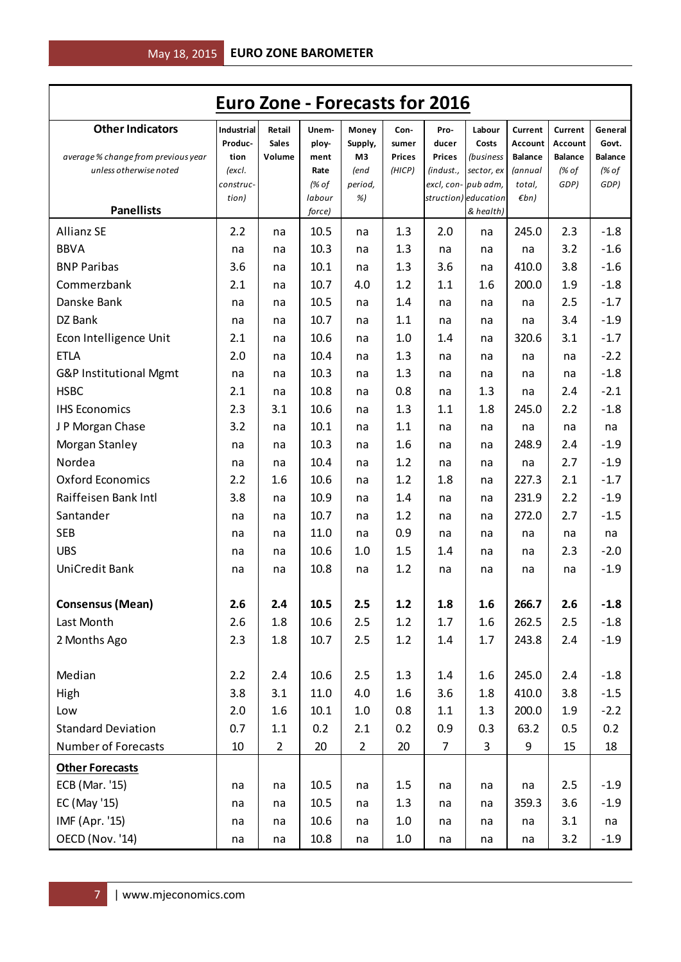|                                     | <b>Euro Zone - Forecasts for 2016</b> |                        |                  |                |                        |                        |                                   |                                  |                                  |                         |
|-------------------------------------|---------------------------------------|------------------------|------------------|----------------|------------------------|------------------------|-----------------------------------|----------------------------------|----------------------------------|-------------------------|
| <b>Other Indicators</b>             | Industrial                            | Retail                 | Unem-            | Money          | Con-                   | Pro-                   | Labour                            | Current                          | Current                          | General                 |
| average % change from previous year | Produc-<br>tion                       | <b>Sales</b><br>Volume | ploy-<br>ment    | Supply,<br>M3  | sumer<br><b>Prices</b> | ducer<br><b>Prices</b> | Costs<br>(business                | <b>Account</b><br><b>Balance</b> | <b>Account</b><br><b>Balance</b> | Govt.<br><b>Balance</b> |
| unless otherwise noted              | (excl.                                |                        | Rate             | (end           | (HICP)                 | (indust.,              | sector, ex                        | (annual                          | $\frac{1}{6}$ of                 | (% of                   |
|                                     | construc-                             |                        | (% of            | period,        |                        |                        | excl, con- pub adm,               | total,                           | GDP)                             | GDP)                    |
| <b>Panellists</b>                   | tion)                                 |                        | labour<br>force) | %)             |                        |                        | struction) education<br>& health) | $\n  Emb\n$                      |                                  |                         |
| <b>Allianz SE</b>                   | 2.2                                   | na                     | 10.5             | na             | 1.3                    | 2.0                    | na                                | 245.0                            | 2.3                              | $-1.8$                  |
| <b>BBVA</b>                         | na                                    | na                     | 10.3             | na             | 1.3                    | na                     | na                                | na                               | 3.2                              | $-1.6$                  |
| <b>BNP Paribas</b>                  | 3.6                                   | na                     | 10.1             | na             | 1.3                    | 3.6                    | na                                | 410.0                            | 3.8                              | $-1.6$                  |
| Commerzbank                         | 2.1                                   | na                     | 10.7             | 4.0            | 1.2                    | 1.1                    | 1.6                               | 200.0                            | 1.9                              | $-1.8$                  |
| Danske Bank                         | na                                    | na                     | 10.5             | na             | 1.4                    | na                     | na                                | na                               | 2.5                              | $-1.7$                  |
| DZ Bank                             | na                                    | na                     | 10.7             | na             | 1.1                    | na                     | na                                | na                               | 3.4                              | $-1.9$                  |
| Econ Intelligence Unit              | 2.1                                   | na                     | 10.6             | na             | 1.0                    | 1.4                    | na                                | 320.6                            | 3.1                              | $-1.7$                  |
| <b>ETLA</b>                         | 2.0                                   | na                     | 10.4             | na             | 1.3                    | na                     | na                                | na                               | na                               | $-2.2$                  |
| G&P Institutional Mgmt              | na                                    | na                     | 10.3             | na             | 1.3                    | na                     | na                                | na                               | na                               | $-1.8$                  |
| <b>HSBC</b>                         | 2.1                                   | na                     | 10.8             | na             | 0.8                    | na                     | 1.3                               | na                               | 2.4                              | $-2.1$                  |
| <b>IHS Economics</b>                | 2.3                                   | 3.1                    | 10.6             | na             | 1.3                    | 1.1                    | 1.8                               | 245.0                            | 2.2                              | $-1.8$                  |
| J P Morgan Chase                    | 3.2                                   | na                     | 10.1             | na             | 1.1                    | na                     | na                                | na                               | na                               | na                      |
| Morgan Stanley                      | na                                    | na                     | 10.3             | na             | 1.6                    | na                     | na                                | 248.9                            | 2.4                              | $-1.9$                  |
| Nordea                              | na                                    | na                     | 10.4             | na             | 1.2                    | na                     | na                                | na                               | 2.7                              | $-1.9$                  |
| <b>Oxford Economics</b>             | 2.2                                   | 1.6                    | 10.6             | na             | 1.2                    | 1.8                    | na                                | 227.3                            | 2.1                              | $-1.7$                  |
| Raiffeisen Bank Intl                | 3.8                                   | na                     | 10.9             | na             | 1.4                    | na                     | na                                | 231.9                            | 2.2                              | $-1.9$                  |
| Santander                           | na                                    | na                     | 10.7             | na             | 1.2                    | na                     | na                                | 272.0                            | 2.7                              | $-1.5$                  |
| <b>SEB</b>                          | na                                    | na                     | 11.0             | na             | 0.9                    | na                     | na                                | na                               | na                               | na                      |
| <b>UBS</b>                          | na                                    | na                     | 10.6             | 1.0            | 1.5                    | 1.4                    | na                                | na                               | 2.3                              | $-2.0$                  |
| <b>UniCredit Bank</b>               | na                                    | na                     | 10.8             | na             | 1.2                    | na                     | na                                | na                               | na                               | $-1.9$                  |
| <b>Consensus (Mean)</b>             | 2.6                                   | 2.4                    | 10.5             | 2.5            | 1.2                    | 1.8                    | 1.6                               | 266.7                            | 2.6                              | $-1.8$                  |
| Last Month                          | 2.6                                   | 1.8                    | 10.6             | 2.5            | 1.2                    | 1.7                    | 1.6                               | 262.5                            | 2.5                              | $-1.8$                  |
| 2 Months Ago                        | 2.3                                   | 1.8                    | 10.7             | 2.5            | 1.2                    | 1.4                    | 1.7                               | 243.8                            | 2.4                              | $-1.9$                  |
|                                     |                                       |                        |                  |                |                        |                        |                                   |                                  |                                  |                         |
| Median                              | 2.2                                   | 2.4                    | 10.6             | 2.5            | 1.3                    | 1.4                    | 1.6                               | 245.0                            | 2.4                              | $-1.8$                  |
| High                                | 3.8                                   | 3.1                    | 11.0             | 4.0            | 1.6                    | 3.6                    | 1.8                               | 410.0                            | 3.8                              | $-1.5$                  |
| Low                                 | 2.0                                   | 1.6                    | 10.1             | 1.0            | 0.8                    | 1.1                    | 1.3                               | 200.0                            | 1.9                              | $-2.2$                  |
| <b>Standard Deviation</b>           | 0.7                                   | 1.1                    | 0.2              | 2.1            | 0.2                    | 0.9                    | 0.3                               | 63.2                             | 0.5                              | 0.2                     |
| <b>Number of Forecasts</b>          | $10\,$                                | $\overline{2}$         | 20               | $\overline{2}$ | 20                     | $\overline{7}$         | 3                                 | 9                                | 15                               | 18                      |
| <b>Other Forecasts</b>              |                                       |                        |                  |                |                        |                        |                                   |                                  |                                  |                         |
| ECB (Mar. '15)                      | na                                    | na                     | 10.5             | na             | 1.5                    | na                     | na                                | na                               | 2.5                              | $-1.9$                  |
| EC (May '15)                        | na                                    | na                     | 10.5             | na             | 1.3                    | na                     | na                                | 359.3                            | 3.6                              | $-1.9$                  |
| IMF (Apr. '15)                      | na                                    | na                     | 10.6             | na             | $1.0\,$                | na                     | na                                | na                               | 3.1                              | na                      |
| OECD (Nov. '14)                     | na                                    | na                     | 10.8             | na             | $1.0\,$                | na                     | na                                | na                               | 3.2                              | $-1.9$                  |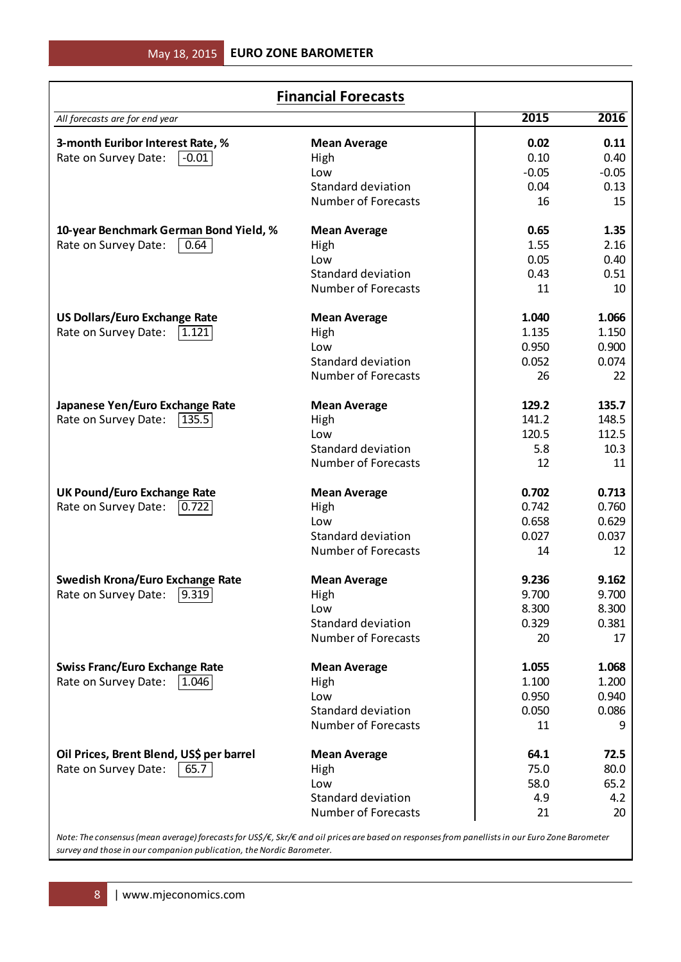|                                          | <b>Financial Forecasts</b> |         |         |  |  |  |  |  |  |
|------------------------------------------|----------------------------|---------|---------|--|--|--|--|--|--|
| All forecasts are for end year           |                            | 2015    | 2016    |  |  |  |  |  |  |
| 3-month Euribor Interest Rate, %         | <b>Mean Average</b>        | 0.02    | 0.11    |  |  |  |  |  |  |
| Rate on Survey Date:<br>l -0.01 l        | High                       | 0.10    | 0.40    |  |  |  |  |  |  |
|                                          | Low                        | $-0.05$ | $-0.05$ |  |  |  |  |  |  |
|                                          | <b>Standard deviation</b>  | 0.04    | 0.13    |  |  |  |  |  |  |
|                                          | <b>Number of Forecasts</b> | 16      | 15      |  |  |  |  |  |  |
| 10-year Benchmark German Bond Yield, %   | <b>Mean Average</b>        | 0.65    | 1.35    |  |  |  |  |  |  |
| Rate on Survey Date:<br>0.64             | High                       | 1.55    | 2.16    |  |  |  |  |  |  |
|                                          | Low                        | 0.05    | 0.40    |  |  |  |  |  |  |
|                                          | <b>Standard deviation</b>  | 0.43    | 0.51    |  |  |  |  |  |  |
|                                          | <b>Number of Forecasts</b> | 11      | 10      |  |  |  |  |  |  |
| <b>US Dollars/Euro Exchange Rate</b>     | <b>Mean Average</b>        | 1.040   | 1.066   |  |  |  |  |  |  |
| Rate on Survey Date:<br>11.121           | High                       | 1.135   | 1.150   |  |  |  |  |  |  |
|                                          | Low                        | 0.950   | 0.900   |  |  |  |  |  |  |
|                                          | Standard deviation         | 0.052   | 0.074   |  |  |  |  |  |  |
|                                          | <b>Number of Forecasts</b> | 26      | 22      |  |  |  |  |  |  |
| Japanese Yen/Euro Exchange Rate          | <b>Mean Average</b>        | 129.2   | 135.7   |  |  |  |  |  |  |
| Rate on Survey Date:<br> 135.5           | High                       | 141.2   | 148.5   |  |  |  |  |  |  |
|                                          | Low                        | 120.5   | 112.5   |  |  |  |  |  |  |
|                                          | <b>Standard deviation</b>  | 5.8     | 10.3    |  |  |  |  |  |  |
|                                          | <b>Number of Forecasts</b> | 12      | 11      |  |  |  |  |  |  |
| <b>UK Pound/Euro Exchange Rate</b>       | <b>Mean Average</b>        | 0.702   | 0.713   |  |  |  |  |  |  |
| Rate on Survey Date:<br> 0.722           | High                       | 0.742   | 0.760   |  |  |  |  |  |  |
|                                          | Low                        | 0.658   | 0.629   |  |  |  |  |  |  |
|                                          | <b>Standard deviation</b>  | 0.027   | 0.037   |  |  |  |  |  |  |
|                                          | <b>Number of Forecasts</b> | 14      | 12      |  |  |  |  |  |  |
| <b>Swedish Krona/Euro Exchange Rate</b>  | <b>Mean Average</b>        | 9.236   | 9.162   |  |  |  |  |  |  |
| Rate on Survey Date: [9.319]             | High                       | 9.700   | 9.700   |  |  |  |  |  |  |
|                                          | Low                        | 8.300   | 8.300   |  |  |  |  |  |  |
|                                          | <b>Standard deviation</b>  | 0.329   | 0.381   |  |  |  |  |  |  |
|                                          | <b>Number of Forecasts</b> | 20      | 17      |  |  |  |  |  |  |
| <b>Swiss Franc/Euro Exchange Rate</b>    | <b>Mean Average</b>        | 1.055   | 1.068   |  |  |  |  |  |  |
| Rate on Survey Date:<br> 1.046           | High                       | 1.100   | 1.200   |  |  |  |  |  |  |
|                                          | Low                        | 0.950   | 0.940   |  |  |  |  |  |  |
|                                          | <b>Standard deviation</b>  | 0.050   | 0.086   |  |  |  |  |  |  |
|                                          | <b>Number of Forecasts</b> | 11      | 9       |  |  |  |  |  |  |
| Oil Prices, Brent Blend, US\$ per barrel | <b>Mean Average</b>        | 64.1    | 72.5    |  |  |  |  |  |  |
| Rate on Survey Date:<br>65.7             | High                       | 75.0    | 80.0    |  |  |  |  |  |  |
|                                          | Low                        | 58.0    | 65.2    |  |  |  |  |  |  |
|                                          | <b>Standard deviation</b>  | 4.9     | 4.2     |  |  |  |  |  |  |
|                                          | <b>Number of Forecasts</b> | 21      | 20      |  |  |  |  |  |  |

*Note: The consensus (mean average) forecasts for US\$/€, Skr/€ and oil prices are based on responses from panellists in our Euro Zone Barometer survey and those in our companion publication, the Nordic Barometer.*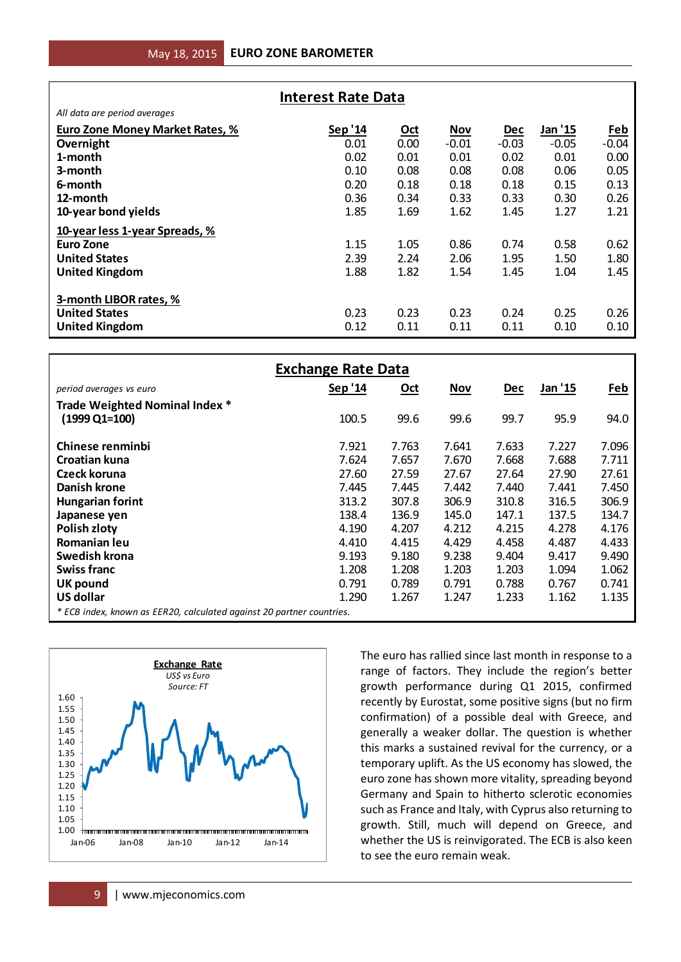| <b>Interest Rate Data</b>       |         |            |            |            |         |                   |  |
|---------------------------------|---------|------------|------------|------------|---------|-------------------|--|
| All data are period averages    |         |            |            |            |         |                   |  |
| Euro Zone Money Market Rates, % | Sep '14 | <u>Oct</u> | <b>Nov</b> | <b>Dec</b> | Jan '15 | Feb               |  |
| Overnight                       | 0.01    | 0.00       | $-0.01$    | $-0.03$    | $-0.05$ | $-0.04$           |  |
| 1-month                         | 0.02    | 0.01       | 0.01       | 0.02       | 0.01    | 0.00 <sub>1</sub> |  |
| 3-month                         | 0.10    | 0.08       | 0.08       | 0.08       | 0.06    | 0.05              |  |
| 6-month                         | 0.20    | 0.18       | 0.18       | 0.18       | 0.15    | 0.13              |  |
| 12-month                        | 0.36    | 0.34       | 0.33       | 0.33       | 0.30    | 0.26              |  |
| 10-year bond yields             | 1.85    | 1.69       | 1.62       | 1.45       | 1.27    | 1.21              |  |
| 10-year less 1-year Spreads, %  |         |            |            |            |         |                   |  |
| Euro Zone                       | 1.15    | 1.05       | 0.86       | 0.74       | 0.58    | 0.62              |  |
| <b>United States</b>            | 2.39    | 2.24       | 2.06       | 1.95       | 1.50    | 1.80              |  |
| <b>United Kingdom</b>           | 1.88    | 1.82       | 1.54       | 1.45       | 1.04    | 1.45              |  |
| 3-month LIBOR rates, %          |         |            |            |            |         |                   |  |
| <b>United States</b>            | 0.23    | 0.23       | 0.23       | 0.24       | 0.25    | 0.26              |  |
| <b>United Kingdom</b>           | 0.12    | 0.11       | 0.11       | 0.11       | 0.10    | 0.10              |  |

| All data are period averages                                          |                           |                              |            |            |                                                         |            |
|-----------------------------------------------------------------------|---------------------------|------------------------------|------------|------------|---------------------------------------------------------|------------|
| <b>Euro Zone Money Market Rates, %</b>                                | Sep '14                   | Oct                          | <b>Nov</b> | Dec        | Jan '15                                                 | Feb        |
| Overnight                                                             | 0.01                      | 0.00                         | $-0.01$    | $-0.03$    | $-0.05$                                                 | $-0.04$    |
| 1-month                                                               | 0.02                      | 0.01                         | 0.01       | 0.02       | 0.01                                                    | 0.00       |
| 3-month                                                               | 0.10                      | 0.08                         | 0.08       | 0.08       | 0.06                                                    | 0.05       |
|                                                                       |                           |                              |            |            |                                                         |            |
| 6-month                                                               | 0.20                      | 0.18                         | 0.18       | 0.18       | 0.15                                                    | 0.13       |
| 12-month                                                              | 0.36                      | 0.34                         | 0.33       | 0.33       | 0.30                                                    | 0.26       |
| 10-year bond yields                                                   | 1.85                      | 1.69                         | 1.62       | 1.45       | 1.27                                                    | 1.21       |
| 10-year less 1-year Spreads, %                                        |                           |                              |            |            |                                                         |            |
| <b>Euro Zone</b>                                                      | 1.15                      | 1.05                         | 0.86       | 0.74       | 0.58                                                    | 0.62       |
| <b>United States</b>                                                  | 2.39                      | 2.24                         | 2.06       | 1.95       | 1.50                                                    | 1.80       |
|                                                                       | 1.88                      | 1.82                         | 1.54       | 1.45       | 1.04                                                    | 1.45       |
| <b>United Kingdom</b>                                                 |                           |                              |            |            |                                                         |            |
|                                                                       |                           |                              |            |            |                                                         |            |
| 3-month LIBOR rates, %                                                |                           |                              |            |            |                                                         |            |
| <b>United States</b>                                                  | 0.23                      | 0.23                         | 0.23       | 0.24       | 0.25                                                    | 0.26       |
| <b>United Kingdom</b>                                                 | 0.12                      | 0.11                         | 0.11       | 0.11       | 0.10                                                    | 0.10       |
|                                                                       |                           |                              |            |            |                                                         |            |
|                                                                       | <b>Exchange Rate Data</b> |                              |            |            |                                                         |            |
| period averages vs euro                                               | Sep '14                   | <u>Oct</u>                   | <b>Nov</b> | <b>Dec</b> | Jan '15                                                 | <u>Feb</u> |
| Trade Weighted Nominal Index *                                        |                           |                              |            |            |                                                         |            |
| $(1999 \text{ Q1} = 100)$                                             | 100.5                     | 99.6                         | 99.6       | 99.7       | 95.9                                                    | 94.0       |
|                                                                       |                           |                              |            |            |                                                         |            |
| Chinese renminbi                                                      | 7.921                     | 7.763                        | 7.641      | 7.633      | 7.227                                                   | 7.096      |
| <b>Croatian kuna</b>                                                  | 7.624                     | 7.657                        | 7.670      | 7.668      | 7.688                                                   | 7.711      |
| Czeck koruna                                                          | 27.60                     | 27.59                        | 27.67      | 27.64      | 27.90                                                   | 27.61      |
|                                                                       |                           |                              |            |            |                                                         |            |
| <b>Danish krone</b>                                                   | 7.445                     | 7.445                        | 7.442      | 7.440      | 7.441                                                   | 7.450      |
| <b>Hungarian forint</b>                                               | 313.2                     | 307.8                        | 306.9      | 310.8      | 316.5                                                   | 306.9      |
| Japanese yen                                                          | 138.4                     | 136.9                        | 145.0      | 147.1      | 137.5                                                   | 134.7      |
| Polish zloty                                                          | 4.190                     | 4.207                        | 4.212      | 4.215      | 4.278                                                   | 4.176      |
| Romanian leu                                                          | 4.410                     | 4.415                        | 4.429      | 4.458      | 4.487                                                   | 4.433      |
| <b>Swedish krona</b>                                                  | 9.193                     | 9.180                        | 9.238      | 9.404      | 9.417                                                   | 9.490      |
| <b>Swiss franc</b>                                                    | 1.208                     | 1.208                        | 1.203      | 1.203      | 1.094                                                   | 1.062      |
| <b>UK pound</b>                                                       | 0.791                     | 0.789                        | 0.791      | 0.788      | 0.767                                                   | 0.741      |
| <b>US dollar</b>                                                      | 1.290                     | 1.267                        | 1.247      | 1.233      | 1.162                                                   | 1.135      |
| * ECB index, known as EER20, calculated against 20 partner countries. |                           |                              |            |            |                                                         |            |
|                                                                       |                           |                              |            |            |                                                         |            |
|                                                                       |                           |                              |            |            |                                                         |            |
|                                                                       |                           |                              |            |            | The euro has rallied since last month in response to a  |            |
| <b>Exchange Rate</b>                                                  |                           |                              |            |            | range of factors. They include the region's better      |            |
| US\$ vs Euro                                                          |                           |                              |            |            |                                                         |            |
| Source: FT<br>1.60                                                    |                           |                              |            |            | growth performance during Q1 2015, confirmed            |            |
| 1.55                                                                  |                           |                              |            |            | recently by Eurostat, some positive signs (but no firm  |            |
| 1.50                                                                  |                           |                              |            |            | confirmation) of a possible deal with Greece, and       |            |
| 1.45                                                                  |                           |                              |            |            | generally a weaker dollar. The question is whether      |            |
| 1.40                                                                  |                           |                              |            |            | this marks a sustained revival for the currency, or a   |            |
| 1.35                                                                  |                           |                              |            |            |                                                         |            |
| 1.30                                                                  |                           |                              |            |            | temporary uplift. As the US economy has slowed, the     |            |
| 1.25<br>1.20                                                          |                           |                              |            |            | euro zone has shown more vitality, spreading beyond     |            |
| 1.15                                                                  |                           |                              |            |            | Germany and Spain to hitherto sclerotic economies       |            |
| 1.10                                                                  |                           |                              |            |            | such as France and Italy, with Cyprus also returning to |            |
| 1.05                                                                  |                           |                              |            |            | growth. Still, much will depend on Greece, and          |            |
| 1.00                                                                  |                           |                              |            |            |                                                         |            |
| Jan-06<br>Jan-08<br>Jan-10<br>Jan-12<br>Jan-14                        |                           |                              |            |            | whether the US is reinvigorated. The ECB is also keen   |            |
|                                                                       |                           | to see the euro remain weak. |            |            |                                                         |            |
|                                                                       |                           |                              |            |            |                                                         |            |
| www.mjeconomics.com<br>9                                              |                           |                              |            |            |                                                         |            |
|                                                                       |                           |                              |            |            |                                                         |            |

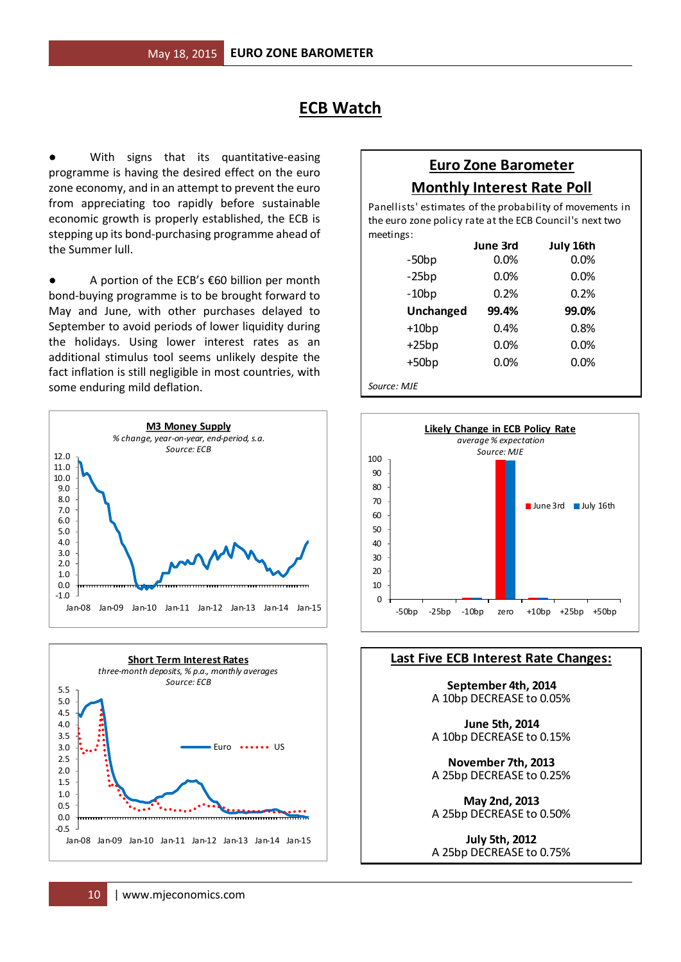### **ECB Watch**

With signs that its quantitative-easing programme is having the desired effect on the euro zone economy, and in an attempt to prevent the euro from appreciating too rapidly before sustainable economic growth is properly established, the ECB is stepping up its bond-purchasing programme ahead of the Summer lull.

● A portion of the ECB's €60 billion per month bond-buying programme is to be brought forward to May and June, with other purchases delayed to September to avoid periods of lower liquidity during the holidays. Using lower interest rates as an additional stimulus tool seems unlikely despite the fact inflation is still negligible in most countries, with some enduring mild deflation.





#### **Euro Zone Barometer Monthly Interest Rate Poll**

meetings: Panellists' estimates of the probability of movements in the euro zone policy rate at the ECB Council's next two

|                  | June 3rd | July 16th |
|------------------|----------|-----------|
| $-50bp$          | 0.0%     | 0.0%      |
| $-25bp$          | 0.0%     | 0.0%      |
| $-10bp$          | 0.2%     | 0.2%      |
| <b>Unchanged</b> | 99.4%    | 99.0%     |
| $+10bp$          | 0.4%     | 0.8%      |
| $+25bp$          | 0.0%     | 0.0%      |
| $+50bp$          | 0.0%     | 0.0%      |
| Source: MJE      |          |           |



#### **Last Five ECB Interest Rate Changes:**

**September 4th, 2014** A 10bp DECREASE to 0.05%

**June 5th, 2014** A 10bp DECREASE to 0.15%

A 25bp DECREASE to 0.25% **November 7th, 2013**

**May 2nd, 2013** A 25bp DECREASE to 0.50%

**July 5th, 2012** A 25bp DECREASE to 0.75%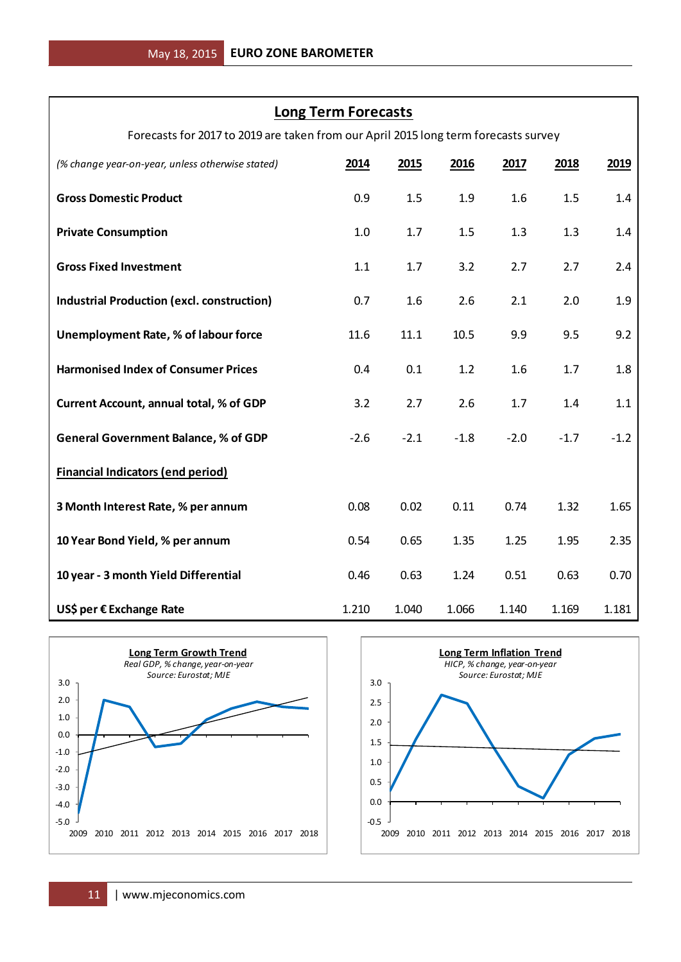#### **Long Term Forecasts**

Forecasts for 2017 to 2019 are taken from our April 2015 long term forecasts survey

| (% change year-on-year, unless otherwise stated)                                                                | 2014                               | 2015   | 2016                                              | 2017                                                                                      | 2018   | 2019   |
|-----------------------------------------------------------------------------------------------------------------|------------------------------------|--------|---------------------------------------------------|-------------------------------------------------------------------------------------------|--------|--------|
| <b>Gross Domestic Product</b>                                                                                   | 0.9                                | 1.5    | 1.9                                               | 1.6                                                                                       | 1.5    | 1.4    |
| <b>Private Consumption</b>                                                                                      | 1.0                                | 1.7    | 1.5                                               | 1.3                                                                                       | 1.3    | 1.4    |
| <b>Gross Fixed Investment</b>                                                                                   | 1.1                                | 1.7    | 3.2                                               | 2.7                                                                                       | 2.7    | 2.4    |
| <b>Industrial Production (excl. construction)</b>                                                               | 0.7                                | 1.6    | 2.6                                               | 2.1                                                                                       | 2.0    | 1.9    |
| Unemployment Rate, % of labour force                                                                            | 11.6                               | 11.1   | 10.5                                              | 9.9                                                                                       | 9.5    | 9.2    |
| <b>Harmonised Index of Consumer Prices</b>                                                                      | 0.4                                | 0.1    | 1.2                                               | 1.6                                                                                       | 1.7    | 1.8    |
| <b>Current Account, annual total, % of GDP</b>                                                                  | 3.2                                | 2.7    | 2.6                                               | 1.7                                                                                       | 1.4    | 1.1    |
| <b>General Government Balance, % of GDP</b>                                                                     | $-2.6$                             | $-2.1$ | $-1.8$                                            | $-2.0$                                                                                    | $-1.7$ | $-1.2$ |
| <b>Financial Indicators (end period)</b>                                                                        |                                    |        |                                                   |                                                                                           |        |        |
| 3 Month Interest Rate, % per annum                                                                              | 0.08                               | 0.02   | 0.11                                              | 0.74                                                                                      | 1.32   | 1.65   |
| 10 Year Bond Yield, % per annum                                                                                 | 0.54                               | 0.65   | 1.35                                              | 1.25                                                                                      | 1.95   | 2.35   |
| 10 year - 3 month Yield Differential                                                                            | 0.46                               | 0.63   | 1.24                                              | 0.51                                                                                      | 0.63   | 0.70   |
| US\$ per € Exchange Rate                                                                                        | 1.210                              | 1.040  | 1.066                                             | 1.140                                                                                     | 1.169  | 1.181  |
| <b>Long Term Growth Trend</b><br>Real GDP, % change, year-on-year<br>Source: Eurostat; MJE<br>3.0<br>2.0<br>1.0 | 3.0<br>2.5<br>2.0                  |        |                                                   | <b>Long Term Inflation Trend</b><br>HICP, % change, year-on-year<br>Source: Eurostat; MJE |        |        |
| 0.0<br>$-1.0$<br>$-2.0$<br>$-3.0$<br>$-4.0$<br>$-5.0$<br>2009<br>2010 2011 2012 2013 2014 2015 2016 2017 2018   | 1.5<br>1.0<br>0.5<br>0.0<br>$-0.5$ |        | 2009 2010 2011 2012 2013 2014 2015 2016 2017 2018 |                                                                                           |        |        |
| www.mjeconomics.com<br>11                                                                                       |                                    |        |                                                   |                                                                                           |        |        |



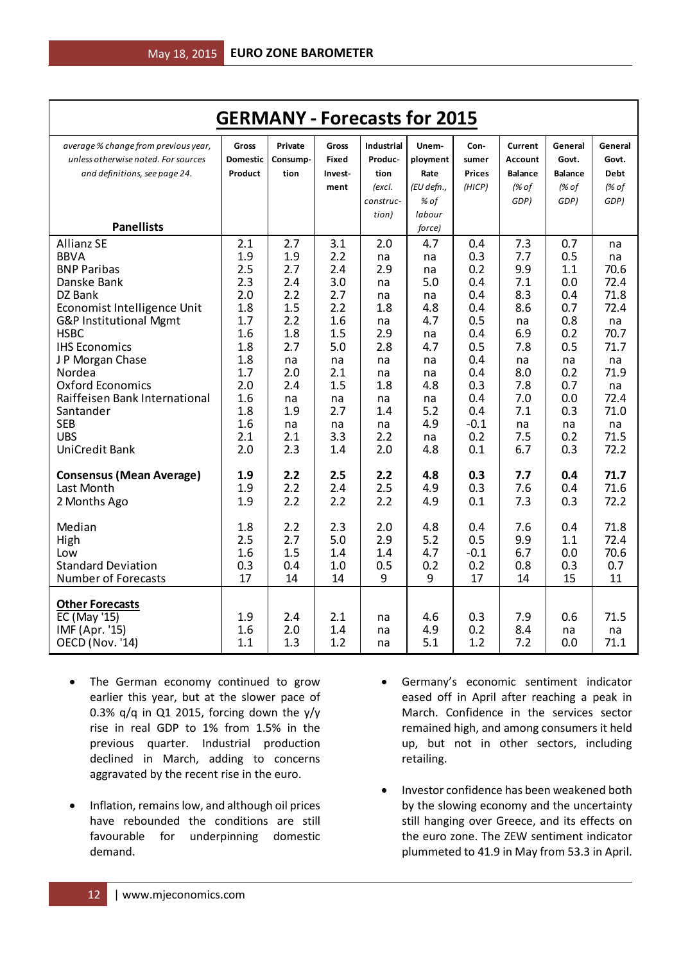| <b>GERMANY - Forecasts for 2015</b>  |                 |            |              |                   |            |               |                |                |              |
|--------------------------------------|-----------------|------------|--------------|-------------------|------------|---------------|----------------|----------------|--------------|
| average % change from previous year, | Gross           | Private    | Gross        | <b>Industrial</b> | Unem-      | Con-          | Current        | General        | General      |
| unless otherwise noted. For sources  | <b>Domestic</b> | Consump-   | <b>Fixed</b> | Produc-           | ployment   | sumer         | <b>Account</b> | Govt.          | Govt.        |
| and definitions, see page 24.        | Product         | tion       | Invest-      | tion              | Rate       | <b>Prices</b> | <b>Balance</b> | <b>Balance</b> | <b>Debt</b>  |
|                                      |                 |            | ment         | (excl.            | (EU defn., | (HICP)        | (% of          | (% of          | (% of        |
|                                      |                 |            |              | construc-         | % of       |               | GDP)           | GDP)           | GDP)         |
|                                      |                 |            |              | tion)             | labour     |               |                |                |              |
| <b>Panellists</b>                    |                 |            |              |                   | force)     |               |                |                |              |
| <b>Allianz SE</b>                    | 2.1             | 2.7        | 3.1          | 2.0               | 4.7        | 0.4           | 7.3            | 0.7            | na           |
| <b>BBVA</b>                          | 1.9             | 1.9        | 2.2          | na                | na         | 0.3           | 7.7            | 0.5            | na           |
| <b>BNP Paribas</b>                   | 2.5             | 2.7        | 2.4          | 2.9               | na         | 0.2           | 9.9            | 1.1            | 70.6         |
| Danske Bank                          | 2.3             | 2.4        | 3.0          | na                | 5.0        | 0.4           | 7.1            | 0.0            | 72.4         |
| DZ Bank                              | 2.0             | 2.2        | 2.7          | na                | na         | 0.4           | 8.3            | 0.4            | 71.8         |
| Economist Intelligence Unit          | 1.8             | 1.5        | 2.2          | 1.8               | 4.8        | 0.4           | 8.6            | 0.7            | 72.4         |
| G&P Institutional Mgmt               | 1.7             | 2.2        | 1.6          | na                | 4.7        | 0.5           | na             | 0.8            | na           |
| <b>HSBC</b><br><b>IHS Economics</b>  | 1.6<br>1.8      | 1.8<br>2.7 | 1.5<br>5.0   | 2.9<br>2.8        | na<br>4.7  | 0.4<br>0.5    | 6.9<br>7.8     | 0.2<br>0.5     | 70.7<br>71.7 |
| J P Morgan Chase                     | 1.8             |            |              |                   |            | 0.4           |                | na             |              |
| Nordea                               | 1.7             | na<br>2.0  | na<br>2.1    | na<br>na          | na<br>na   | 0.4           | na<br>8.0      | 0.2            | na<br>71.9   |
| <b>Oxford Economics</b>              | 2.0             | 2.4        | 1.5          | 1.8               | 4.8        | 0.3           | 7.8            | 0.7            | na           |
| Raiffeisen Bank International        | 1.6             | na         | na           | na                | na         | 0.4           | 7.0            | 0.0            | 72.4         |
| Santander                            | 1.8             | 1.9        | 2.7          | 1.4               | 5.2        | 0.4           | 7.1            | 0.3            | 71.0         |
| <b>SEB</b>                           | 1.6             | na         | na           | na                | 4.9        | $-0.1$        | na             | na             | na           |
| <b>UBS</b>                           | 2.1             | 2.1        | 3.3          | 2.2               | na         | 0.2           | 7.5            | 0.2            | 71.5         |
| UniCredit Bank                       | 2.0             | 2.3        | 1.4          | 2.0               | 4.8        | 0.1           | 6.7            | 0.3            | 72.2         |
| <b>Consensus (Mean Average)</b>      | 1.9             | 2.2        | 2.5          | 2.2               | 4.8        | 0.3           | 7.7            | 0.4            | 71.7         |
| Last Month                           | 1.9             | 2.2        | 2.4          | 2.5               | 4.9        | 0.3           | 7.6            | 0.4            | 71.6         |
| 2 Months Ago                         | 1.9             | 2.2        | 2.2          | 2.2               | 4.9        | 0.1           | 7.3            | 0.3            | 72.2         |
| Median                               | 1.8             | 2.2        | 2.3          | 2.0               | 4.8        | 0.4           | 7.6            | 0.4            | 71.8         |
| High                                 | 2.5             | 2.7        | 5.0          | 2.9               | 5.2        | 0.5           | 9.9            | 1.1            | 72.4         |
| Low                                  | 1.6             | 1.5        | 1.4          | 1.4               | 4.7        | $-0.1$        | 6.7            | 0.0            | 70.6         |
| <b>Standard Deviation</b>            | 0.3             | 0.4        | 1.0          | 0.5               | 0.2        | 0.2           | 0.8            | 0.3            | 0.7          |
| Number of Forecasts                  | 17              | 14         | 14           | 9                 | 9          | 17            | 14             | 15             | 11           |
| <b>Other Forecasts</b>               |                 |            |              |                   |            |               |                |                |              |
| <b>EC</b> (May '15)                  | 1.9             | 2.4        | 2.1          | na                | 4.6        | 0.3           | 7.9            | 0.6            | 71.5         |
| IMF (Apr. '15)                       | 1.6             | 2.0        | 1.4          | na                | 4.9        | 0.2           | 8.4            | na             | na           |
| <b>OECD (Nov. '14)</b>               | 1.1             | 1.3        | 1.2          | na                | 5.1        | 1.2           | 7.2            | 0.0            | 71.1         |

- The German economy continued to grow earlier this year, but at the slower pace of 0.3% q/q in Q1 2015, forcing down the  $y/y$ rise in real GDP to 1% from 1.5% in the previous quarter. Industrial production declined in March, adding to concerns aggravated by the recent rise in the euro.
- Inflation, remains low, and although oil prices have rebounded the conditions are still favourable for underpinning domestic demand.
- Germany's economic sentiment indicator eased off in April after reaching a peak in March. Confidence in the services sector remained high, and among consumers it held up, but not in other sectors, including retailing.
- Investor confidence has been weakened both by the slowing economy and the uncertainty still hanging over Greece, and its effects on the euro zone. The ZEW sentiment indicator plummeted to 41.9 in May from 53.3 in April.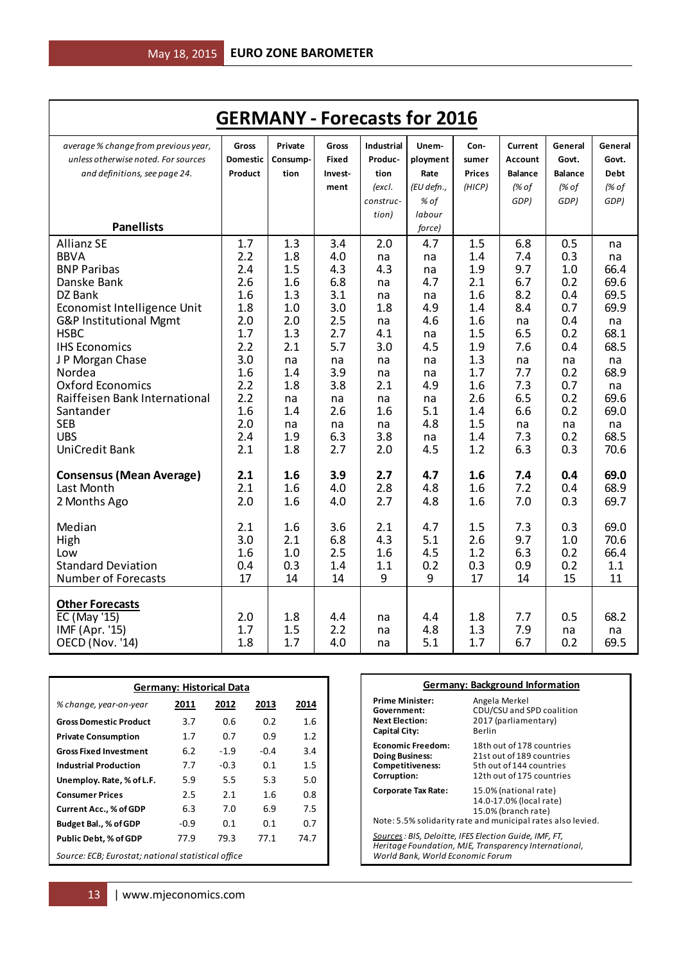| <b>GERMANY - Forecasts for 2016</b>                                         |                          |                     |                       |                              |                   |               |                    |                  |                  |
|-----------------------------------------------------------------------------|--------------------------|---------------------|-----------------------|------------------------------|-------------------|---------------|--------------------|------------------|------------------|
| average % change from previous year,<br>unless otherwise noted. For sources | Gross<br><b>Domestic</b> | Private<br>Consump- | Gross<br><b>Fixed</b> | <b>Industrial</b><br>Produc- | Unem-<br>ployment | Con-<br>sumer | Current<br>Account | General<br>Govt. | General<br>Govt. |
| and definitions, see page 24.                                               | Product                  | tion                | Invest-               | tion                         | Rate              | <b>Prices</b> | <b>Balance</b>     | <b>Balance</b>   | <b>Debt</b>      |
|                                                                             |                          |                     | ment                  | (excl.                       | (EU defn.,        | (HICP)        | (% of              | (% of            | (% of            |
|                                                                             |                          |                     |                       | construc-                    | % of              |               | GDP)               | GDP)             | GDP)             |
|                                                                             |                          |                     |                       | tion)                        | labour            |               |                    |                  |                  |
| <b>Panellists</b>                                                           |                          |                     |                       |                              | force)            |               |                    |                  |                  |
| <b>Allianz SE</b>                                                           | 1.7                      | 1.3                 | 3.4                   | 2.0                          | 4.7               | 1.5           | 6.8                | 0.5              | na               |
| <b>BBVA</b>                                                                 | 2.2                      | 1.8                 | 4.0                   | na                           | na                | 1.4           | 7.4                | 0.3              | na               |
| <b>BNP Paribas</b>                                                          | 2.4                      | 1.5                 | 4.3                   | 4.3                          | na                | 1.9           | 9.7                | 1.0              | 66.4             |
| Danske Bank                                                                 | 2.6                      | 1.6                 | 6.8                   | na                           | 4.7               | 2.1           | 6.7                | 0.2              | 69.6             |
| DZ Bank                                                                     | 1.6                      | 1.3                 | 3.1                   | na                           | na                | 1.6           | 8.2                | 0.4              | 69.5             |
| Economist Intelligence Unit                                                 | 1.8                      | 1.0                 | 3.0                   | 1.8                          | 4.9               | 1.4           | 8.4                | 0.7              | 69.9             |
| G&P Institutional Mgmt                                                      | 2.0                      | 2.0                 | 2.5                   | na                           | 4.6               | 1.6           | na                 | 0.4              | na               |
| <b>HSBC</b>                                                                 | 1.7                      | 1.3                 | 2.7                   | 4.1                          | na                | 1.5           | 6.5                | 0.2              | 68.1             |
| <b>IHS Economics</b>                                                        | 2.2<br>3.0               | 2.1                 | 5.7                   | 3.0                          | 4.5               | 1.9<br>1.3    | 7.6                | 0.4              | 68.5             |
| J P Morgan Chase<br>Nordea                                                  | 1.6                      | na<br>1.4           | na<br>3.9             | na                           | na                | 1.7           | na<br>7.7          | na<br>0.2        | na<br>68.9       |
| <b>Oxford Economics</b>                                                     | 2.2                      | 1.8                 | 3.8                   | na<br>2.1                    | na<br>4.9         | 1.6           | 7.3                | 0.7              | na               |
| Raiffeisen Bank International                                               | 2.2                      | na                  | na                    | na                           | na                | 2.6           | 6.5                | 0.2              | 69.6             |
| Santander                                                                   | 1.6                      | 1.4                 | 2.6                   | 1.6                          | 5.1               | 1.4           | 6.6                | 0.2              | 69.0             |
| <b>SEB</b>                                                                  | 2.0                      | na                  | na                    | na                           | 4.8               | 1.5           | na                 | na               | na               |
| <b>UBS</b>                                                                  | 2.4                      | 1.9                 | 6.3                   | 3.8                          | na                | 1.4           | 7.3                | 0.2              | 68.5             |
| <b>UniCredit Bank</b>                                                       | 2.1                      | 1.8                 | 2.7                   | 2.0                          | 4.5               | 1.2           | 6.3                | 0.3              | 70.6             |
| <b>Consensus (Mean Average)</b>                                             | 2.1                      | 1.6                 | 3.9                   | 2.7                          | 4.7               | 1.6           | 7.4                | 0.4              | 69.0             |
| Last Month                                                                  | 2.1                      | 1.6                 | 4.0                   | 2.8                          | 4.8               | 1.6           | 7.2                | 0.4              | 68.9             |
| 2 Months Ago                                                                | 2.0                      | 1.6                 | 4.0                   | 2.7                          | 4.8               | 1.6           | 7.0                | 0.3              | 69.7             |
|                                                                             |                          |                     |                       |                              |                   |               |                    |                  |                  |
| Median                                                                      | 2.1                      | 1.6                 | 3.6                   | 2.1                          | 4.7               | 1.5           | 7.3                | 0.3              | 69.0             |
| High                                                                        | 3.0                      | 2.1                 | 6.8                   | 4.3                          | 5.1               | 2.6           | 9.7                | 1.0              | 70.6             |
| Low                                                                         | 1.6                      | 1.0                 | 2.5                   | 1.6                          | 4.5               | 1.2           | 6.3                | 0.2              | 66.4             |
| <b>Standard Deviation</b>                                                   | 0.4                      | 0.3                 | 1.4                   | 1.1                          | 0.2               | 0.3           | 0.9                | 0.2              | 1.1              |
| <b>Number of Forecasts</b>                                                  | 17                       | 14                  | 14                    | 9                            | 9                 | 17            | 14                 | 15               | 11               |
| <b>Other Forecasts</b>                                                      |                          |                     |                       |                              |                   |               |                    |                  |                  |
| EC (May '15)                                                                | 2.0                      | 1.8                 | 4.4                   | na                           | 4.4               | 1.8           | 7.7                | 0.5              | 68.2             |
| IMF (Apr. '15)                                                              | 1.7                      | 1.5                 | 2.2                   | na                           | 4.8               | 1.3           | 7.9                | na               | na               |
| <b>OECD (Nov. '14)</b>                                                      | 1.8                      | 1.7                 | 4.0                   | na                           | 5.1               | 1.7           | 6.7                | 0.2              | 69.5             |

| <b>Germany: Historical Data</b> |                                                    |        |        |      |  |  |  |  |
|---------------------------------|----------------------------------------------------|--------|--------|------|--|--|--|--|
| % change, year-on-year          | 2011                                               | 2012   | 2013   | 2014 |  |  |  |  |
| <b>Gross Domestic Product</b>   | 3.7                                                | 0.6    | 0.2    | 1.6  |  |  |  |  |
| <b>Private Consumption</b>      | 1.7                                                | 0.7    | 0.9    | 1.2  |  |  |  |  |
| <b>Gross Fixed Investment</b>   | 6.2                                                | $-1.9$ | $-0.4$ | 3.4  |  |  |  |  |
| <b>Industrial Production</b>    | 7.7                                                | $-0.3$ | 0.1    | 1.5  |  |  |  |  |
| Unemploy. Rate, % of L.F.       | 5.9                                                | 5.5    | 5.3    | 5.0  |  |  |  |  |
| <b>Consumer Prices</b>          | 2.5                                                | 2.1    | 1.6    | 0.8  |  |  |  |  |
| <b>Current Acc., % of GDP</b>   | 6.3                                                | 7.0    | 6.9    | 7.5  |  |  |  |  |
| Budget Bal., % of GDP           | -0.9                                               | 0.1    | 0.1    | 0.7  |  |  |  |  |
| <b>Public Debt, % of GDP</b>    | 77.9                                               | 79.3   | 77.1   | 74.7 |  |  |  |  |
|                                 | Source: ECB; Eurostat; national statistical office |        |        |      |  |  |  |  |

|                                                                                                                                                     | <b>Germany: Background Information</b>                                                                                                 |  |  |  |  |
|-----------------------------------------------------------------------------------------------------------------------------------------------------|----------------------------------------------------------------------------------------------------------------------------------------|--|--|--|--|
| <b>Prime Minister:</b><br>Government:<br><b>Next Election:</b><br><b>Capital City:</b>                                                              | Angela Merkel<br>CDU/CSU and SPD coalition<br>2017 (parliamentary)<br>Berlin                                                           |  |  |  |  |
| <b>Economic Freedom:</b><br><b>Doing Business:</b><br>Competitiveness:<br>Corruption:                                                               | 18th out of 178 countries<br>21st out of 189 countries<br>5th out of 144 countries<br>12th out of 175 countries                        |  |  |  |  |
| <b>Corporate Tax Rate:</b>                                                                                                                          | 15.0% (national rate)<br>14.0-17.0% (local rate)<br>15.0% (branch rate)<br>Note: 5.5% solidarity rate and municipal rates also levied. |  |  |  |  |
| Sources : BIS, Deloitte, IFES Election Guide, IMF, FT,<br>Heritage Foundation, MJE, Transparency International,<br>World Bank, World Economic Forum |                                                                                                                                        |  |  |  |  |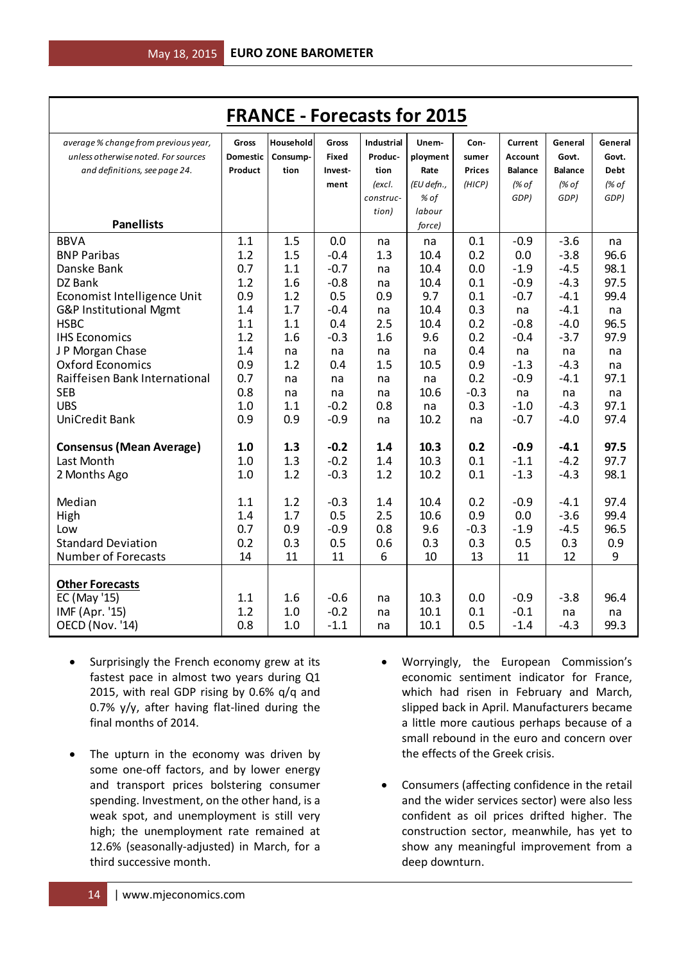|                                      |                 | <b>FRANCE - Forecasts for 2015</b> |              |                   |            |               |                |                |             |
|--------------------------------------|-----------------|------------------------------------|--------------|-------------------|------------|---------------|----------------|----------------|-------------|
| average % change from previous year, | Gross           | Household                          | Gross        | <b>Industrial</b> | Unem-      | Con-          | Current        | General        | General     |
| unless otherwise noted. For sources  | <b>Domestic</b> | Consump-                           | <b>Fixed</b> | Produc-           | ployment   | sumer         | Account        | Govt.          | Govt.       |
| and definitions, see page 24.        | Product         | tion                               | Invest-      | tion              | Rate       | <b>Prices</b> | <b>Balance</b> | <b>Balance</b> | <b>Debt</b> |
|                                      |                 |                                    | ment         | (excl.            | (EU defn., | (HICP)        | (% of          | (% of          | (% of       |
|                                      |                 |                                    |              | construc-         | % of       |               | GDP)           | GDP)           | GDP)        |
|                                      |                 |                                    |              | tion)             | labour     |               |                |                |             |
| <b>Panellists</b>                    |                 |                                    |              |                   | force)     |               |                |                |             |
| <b>BBVA</b>                          | 1.1             | 1.5                                | 0.0          | na                | na         | 0.1           | $-0.9$         | $-3.6$         | na          |
| <b>BNP Paribas</b>                   | 1.2             | 1.5                                | $-0.4$       | 1.3               | 10.4       | 0.2           | 0.0            | $-3.8$         | 96.6        |
| Danske Bank                          | 0.7             | 1.1                                | $-0.7$       | na                | 10.4       | 0.0           | $-1.9$         | $-4.5$         | 98.1        |
| DZ Bank                              | 1.2             | 1.6                                | $-0.8$       | na                | 10.4       | 0.1           | $-0.9$         | $-4.3$         | 97.5        |
| Economist Intelligence Unit          | 0.9             | 1.2                                | 0.5          | 0.9               | 9.7        | 0.1           | $-0.7$         | $-4.1$         | 99.4        |
| G&P Institutional Mgmt               | 1.4             | 1.7                                | $-0.4$       | na                | 10.4       | 0.3           | na             | $-4.1$         | na          |
| <b>HSBC</b>                          | 1.1             | 1.1                                | 0.4          | 2.5               | 10.4       | 0.2           | $-0.8$         | $-4.0$         | 96.5        |
| <b>IHS Economics</b>                 | 1.2             | 1.6                                | $-0.3$       | 1.6               | 9.6        | 0.2           | $-0.4$         | $-3.7$         | 97.9        |
| J P Morgan Chase                     | 1.4             | na                                 | na           | na                | na         | 0.4           | na             | na             | na          |
| <b>Oxford Economics</b>              | 0.9             | 1.2                                | 0.4          | 1.5               | 10.5       | 0.9           | $-1.3$         | $-4.3$         | na          |
| Raiffeisen Bank International        | 0.7             | na                                 | na           | na                | na         | 0.2           | $-0.9$         | $-4.1$         | 97.1        |
| <b>SEB</b>                           | 0.8             | na                                 | na           | na                | 10.6       | $-0.3$        | na             | na             | na          |
| <b>UBS</b>                           | 1.0             | 1.1                                | $-0.2$       | 0.8               | na         | 0.3           | $-1.0$         | $-4.3$         | 97.1        |
| UniCredit Bank                       | 0.9             | 0.9                                | $-0.9$       | na                | 10.2       | na            | $-0.7$         | $-4.0$         | 97.4        |
| <b>Consensus (Mean Average)</b>      | 1.0             | 1.3                                | $-0.2$       | 1.4               | 10.3       | 0.2           | $-0.9$         | $-4.1$         | 97.5        |
| Last Month                           | 1.0             | 1.3                                | $-0.2$       | 1.4               | 10.3       | 0.1           | $-1.1$         | $-4.2$         | 97.7        |
| 2 Months Ago                         | 1.0             | 1.2                                | $-0.3$       | 1.2               | 10.2       | 0.1           | $-1.3$         | $-4.3$         | 98.1        |
|                                      |                 |                                    |              |                   |            |               |                |                |             |
| Median                               | 1.1             | 1.2                                | $-0.3$       | 1.4               | 10.4       | 0.2           | $-0.9$         | $-4.1$         | 97.4        |
| High                                 | 1.4             | 1.7                                | 0.5          | 2.5               | 10.6       | 0.9           | 0.0            | $-3.6$         | 99.4        |
| Low                                  | 0.7             | 0.9                                | $-0.9$       | 0.8               | 9.6        | $-0.3$        | $-1.9$         | $-4.5$         | 96.5        |
| <b>Standard Deviation</b>            | 0.2             | 0.3                                | 0.5          | 0.6               | 0.3        | 0.3           | 0.5            | 0.3            | 0.9         |
| <b>Number of Forecasts</b>           | 14              | 11                                 | 11           | 6                 | 10         | 13            | 11             | 12             | 9           |
| <b>Other Forecasts</b>               |                 |                                    |              |                   |            |               |                |                |             |
| EC (May '15)                         | 1.1             | 1.6                                | $-0.6$       | na                | 10.3       | 0.0           | $-0.9$         | $-3.8$         | 96.4        |
| IMF (Apr. '15)                       | 1.2             | 1.0                                | $-0.2$       | na                | 10.1       | 0.1           | $-0.1$         | na             | na          |
| OECD (Nov. '14)                      | 0.8             | 1.0                                | $-1.1$       | na                | 10.1       | 0.5           | $-1.4$         | $-4.3$         | 99.3        |

- Surprisingly the French economy grew at its fastest pace in almost two years during Q1 2015, with real GDP rising by 0.6% q/q and 0.7% y/y, after having flat-lined during the final months of 2014.
- The upturn in the economy was driven by some one-off factors, and by lower energy and transport prices bolstering consumer spending. Investment, on the other hand, is a weak spot, and unemployment is still very high; the unemployment rate remained at 12.6% (seasonally-adjusted) in March, for a third successive month.
- Worryingly, the European Commission's economic sentiment indicator for France, which had risen in February and March, slipped back in April. Manufacturers became a little more cautious perhaps because of a small rebound in the euro and concern over the effects of the Greek crisis.
- Consumers (affecting confidence in the retail and the wider services sector) were also less confident as oil prices drifted higher. The construction sector, meanwhile, has yet to show any meaningful improvement from a deep downturn.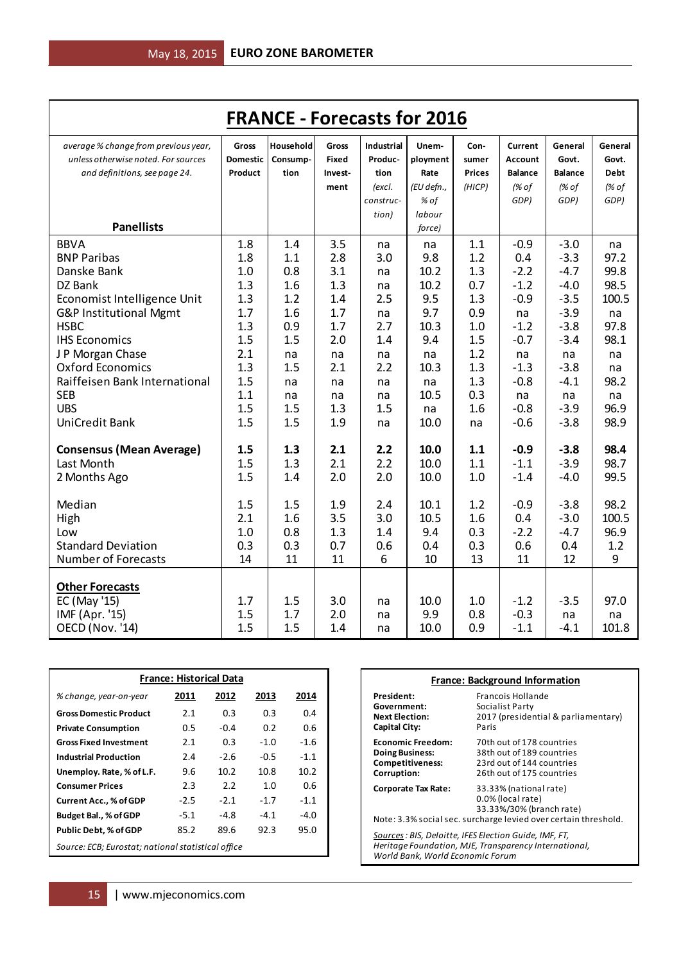|                                      |                 | <b>FRANCE - Forecasts for 2016</b> |              |                   |            |               |                |                |             |
|--------------------------------------|-----------------|------------------------------------|--------------|-------------------|------------|---------------|----------------|----------------|-------------|
| average % change from previous year, | Gross           | Household                          | Gross        | <b>Industrial</b> | Unem-      | Con-          | Current        | General        | General     |
| unless otherwise noted. For sources  | <b>Domestic</b> | Consump-                           | <b>Fixed</b> | Produc-           | ployment   | sumer         | Account        | Govt.          | Govt.       |
| and definitions, see page 24.        | Product         | tion                               | Invest-      | tion              | Rate       | <b>Prices</b> | <b>Balance</b> | <b>Balance</b> | <b>Debt</b> |
|                                      |                 |                                    | ment         | (excl.            | (EU defn., | (HICP)        | (% of          | (% of          | (% of       |
|                                      |                 |                                    |              | construc-         | % of       |               | GDP)           | GDP)           | GDP)        |
|                                      |                 |                                    |              | tion)             | labour     |               |                |                |             |
| <b>Panellists</b>                    |                 |                                    |              |                   | force)     |               |                |                |             |
| <b>BBVA</b>                          | 1.8             | 1.4                                | 3.5          | na                | na         | 1.1           | $-0.9$         | $-3.0$         | na          |
| <b>BNP Paribas</b>                   | 1.8             | 1.1                                | 2.8          | 3.0               | 9.8        | 1.2           | 0.4            | $-3.3$         | 97.2        |
| Danske Bank                          | 1.0             | 0.8                                | 3.1          | na                | 10.2       | 1.3           | $-2.2$         | $-4.7$         | 99.8        |
| DZ Bank                              | 1.3             | 1.6                                | 1.3          | na                | 10.2       | 0.7           | $-1.2$         | $-4.0$         | 98.5        |
| Economist Intelligence Unit          | 1.3             | 1.2                                | 1.4          | 2.5               | 9.5        | 1.3           | $-0.9$         | $-3.5$         | 100.5       |
| G&P Institutional Mgmt               | 1.7             | 1.6                                | 1.7          | na                | 9.7        | 0.9           | na             | $-3.9$         | na          |
| <b>HSBC</b>                          | 1.3             | 0.9                                | 1.7          | 2.7               | 10.3       | 1.0           | $-1.2$         | $-3.8$         | 97.8        |
| <b>IHS Economics</b>                 | 1.5             | 1.5                                | 2.0          | 1.4               | 9.4        | 1.5           | $-0.7$         | $-3.4$         | 98.1        |
| J P Morgan Chase                     | 2.1             | na                                 | na           | na                | na         | 1.2           | na             | na             | na          |
| <b>Oxford Economics</b>              | 1.3             | 1.5                                | 2.1          | 2.2               | 10.3       | 1.3           | $-1.3$         | $-3.8$         | na          |
| Raiffeisen Bank International        | 1.5             | na                                 | na           | na                | na         | 1.3           | $-0.8$         | $-4.1$         | 98.2        |
| <b>SEB</b>                           | 1.1             | na                                 | na           | na                | 10.5       | 0.3           | na             | na             | na          |
| <b>UBS</b>                           | 1.5             | 1.5                                | 1.3          | 1.5               | na         | 1.6           | $-0.8$         | $-3.9$         | 96.9        |
| <b>UniCredit Bank</b>                | 1.5             | 1.5                                | 1.9          | na                | 10.0       | na            | $-0.6$         | $-3.8$         | 98.9        |
| <b>Consensus (Mean Average)</b>      | 1.5             | 1.3                                | 2.1          | 2.2               | 10.0       | 1.1           | $-0.9$         | $-3.8$         | 98.4        |
| Last Month                           | 1.5             | 1.3                                | 2.1          | 2.2               | 10.0       | 1.1           | $-1.1$         | $-3.9$         | 98.7        |
| 2 Months Ago                         | 1.5             | 1.4                                | 2.0          | 2.0               | 10.0       | 1.0           | $-1.4$         | $-4.0$         | 99.5        |
| Median                               | 1.5             | 1.5                                | 1.9          | 2.4               | 10.1       | 1.2           | $-0.9$         | $-3.8$         | 98.2        |
| High                                 | 2.1             | 1.6                                | 3.5          | 3.0               | 10.5       | 1.6           | 0.4            | $-3.0$         | 100.5       |
| Low                                  | 1.0             | 0.8                                | 1.3          | 1.4               | 9.4        | 0.3           | $-2.2$         | $-4.7$         | 96.9        |
| <b>Standard Deviation</b>            | 0.3             | 0.3                                | 0.7          | 0.6               | 0.4        | 0.3           | 0.6            | 0.4            | 1.2         |
| <b>Number of Forecasts</b>           | 14              | 11                                 | 11           | 6                 | 10         | 13            | 11             | 12             | 9           |
|                                      |                 |                                    |              |                   |            |               |                |                |             |
| <b>Other Forecasts</b>               |                 |                                    |              |                   |            |               |                |                |             |
| EC (May '15)                         | 1.7             | 1.5                                | 3.0          | na                | 10.0       | 1.0           | $-1.2$         | $-3.5$         | 97.0        |
| IMF (Apr. '15)                       | 1.5             | 1.7                                | 2.0          | na                | 9.9        | 0.8           | $-0.3$         | na             | na          |
| OECD (Nov. '14)                      | 1.5             | 1.5                                | 1.4          | na                | 10.0       | 0.9           | $-1.1$         | $-4.1$         | 101.8       |

| <b>France: Historical Data</b>                     |        |                   |             |                   |  |  |  |
|----------------------------------------------------|--------|-------------------|-------------|-------------------|--|--|--|
| % change, year-on-year                             | 2011   | 2012              | 2013        | 2014              |  |  |  |
| <b>Gross Domestic Product</b>                      | 2.1    | 0.3               | 0.3         | 0.4               |  |  |  |
| <b>Private Consumption</b>                         | 0.5    | $-0.4$            | 0.2         | 0.6               |  |  |  |
| <b>Gross Fixed Investment</b>                      | 2.1    | 0.3               | $-1.0$      | $-1.6$            |  |  |  |
| <b>Industrial Production</b>                       | 2.4    | $-2.6$            | $-0.5$      | $-1.1$            |  |  |  |
| Unemploy. Rate, % of L.F.                          | 9.6    | 10.2 <sup>2</sup> | 10.8        | 10.2 <sup>2</sup> |  |  |  |
| <b>Consumer Prices</b>                             | 2.3    | 2.2               | 1. $\Omega$ | 0.6               |  |  |  |
| <b>Current Acc., % of GDP</b>                      | $-2.5$ | $-2.1$            | $-1.7$      | $-1.1$            |  |  |  |
| Budget Bal., % of GDP                              | -5.1   | $-4.8$            | $-4.1$      | $-4.0$            |  |  |  |
| <b>Public Debt, % of GDP</b>                       | 85.2   | 89.6              | 92.3        | 95.0              |  |  |  |
| Source: ECB; Eurostat; national statistical office |        |                   |             |                   |  |  |  |

|                                                                                                                                                     | <b>France: Background Information</b>                                                                                                      |  |  |  |  |  |
|-----------------------------------------------------------------------------------------------------------------------------------------------------|--------------------------------------------------------------------------------------------------------------------------------------------|--|--|--|--|--|
| President:<br>Government:<br><b>Next Election:</b><br>Capital City:                                                                                 | Francois Hollande<br>Socialist Party<br>2017 (presidential & parliamentary)<br>Paris                                                       |  |  |  |  |  |
| <b>Economic Freedom:</b><br><b>Doing Business:</b><br><b>Competitiveness:</b><br>Corruption:                                                        | 70th out of 178 countries<br>38th out of 189 countries<br>23rd out of 144 countries<br>26th out of 175 countries                           |  |  |  |  |  |
| Corporate Tax Rate:                                                                                                                                 | 33.33% (national rate)<br>0.0% (local rate)<br>33.33%/30% (branch rate)<br>Note: 3.3% social sec. surcharge levied over certain threshold. |  |  |  |  |  |
| Sources : BIS, Deloitte, IFES Election Guide, IMF, FT,<br>Heritage Foundation, MJE, Transparency International,<br>World Bank, World Economic Forum |                                                                                                                                            |  |  |  |  |  |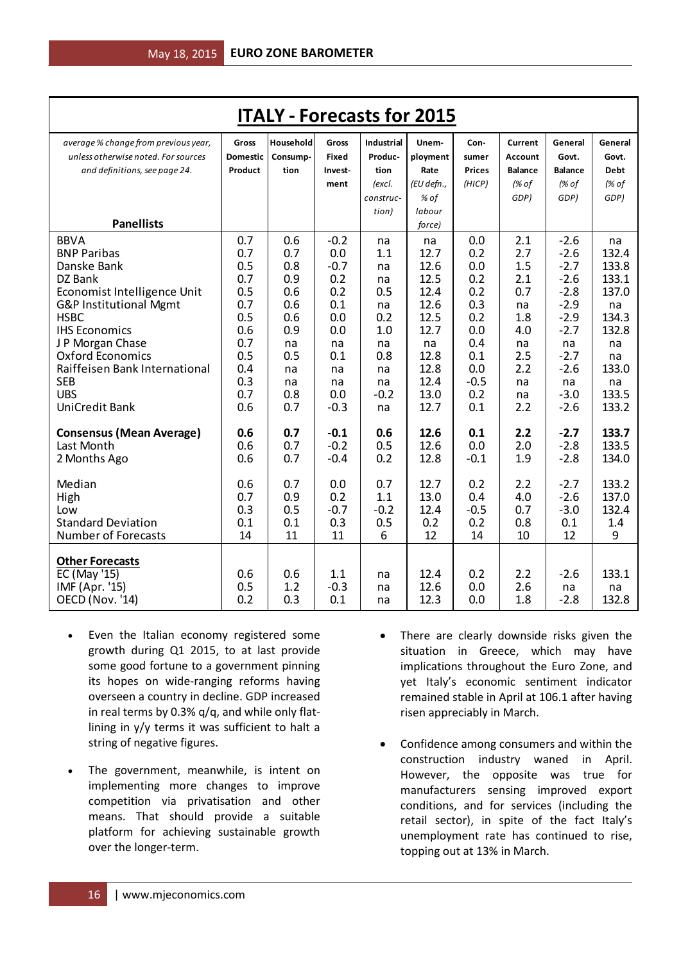| <b>ITALY - Forecasts for 2015</b>                                                                                                                                                                                                                                                         |                                                                                                |                                                                                             |                                                                                                      |                                                                                           |                                                                                                                    |                                                                                                   |                                                                                            |                                                                                                                                  |                                                                                                             |
|-------------------------------------------------------------------------------------------------------------------------------------------------------------------------------------------------------------------------------------------------------------------------------------------|------------------------------------------------------------------------------------------------|---------------------------------------------------------------------------------------------|------------------------------------------------------------------------------------------------------|-------------------------------------------------------------------------------------------|--------------------------------------------------------------------------------------------------------------------|---------------------------------------------------------------------------------------------------|--------------------------------------------------------------------------------------------|----------------------------------------------------------------------------------------------------------------------------------|-------------------------------------------------------------------------------------------------------------|
| average % change from previous year,<br>unless otherwise noted. For sources<br>and definitions, see page 24.<br><b>Panellists</b>                                                                                                                                                         | Gross<br><b>Domestic</b><br>Product                                                            | Household<br>Consump-<br>tion                                                               | Gross<br><b>Fixed</b><br>Invest-<br>ment                                                             | <b>Industrial</b><br>Produc-<br>tion<br>(excl.<br>construc-<br>tion)                      | Unem-<br>ployment<br>Rate<br>(EU defn.,<br>% of<br>labour                                                          | Con-<br>sumer<br><b>Prices</b><br>(HICP)                                                          | Current<br><b>Account</b><br><b>Balance</b><br>(% of<br>GDP)                               | General<br>Govt.<br><b>Balance</b><br>(% of<br>GDP)                                                                              | General<br>Govt.<br><b>Debt</b><br>(% of<br>GDP)                                                            |
| <b>BBVA</b><br><b>BNP Paribas</b><br>Danske Bank<br>DZ Bank<br>Economist Intelligence Unit<br>G&P Institutional Mgmt<br><b>HSBC</b><br><b>IHS Economics</b><br>J P Morgan Chase<br><b>Oxford Economics</b><br>Raiffeisen Bank International<br><b>SEB</b><br><b>UBS</b><br>UniCredit Bank | 0.7<br>0.7<br>0.5<br>0.7<br>0.5<br>0.7<br>0.5<br>0.6<br>0.7<br>0.5<br>0.4<br>0.3<br>0.7<br>0.6 | 0.6<br>0.7<br>0.8<br>0.9<br>0.6<br>0.6<br>0.6<br>0.9<br>na<br>0.5<br>na<br>na<br>0.8<br>0.7 | $-0.2$<br>0.0<br>$-0.7$<br>0.2<br>0.2<br>0.1<br>0.0<br>0.0<br>na<br>0.1<br>na<br>na<br>0.0<br>$-0.3$ | na<br>1.1<br>na<br>na<br>0.5<br>na<br>0.2<br>1.0<br>na<br>0.8<br>na<br>na<br>$-0.2$<br>na | force)<br>na<br>12.7<br>12.6<br>12.5<br>12.4<br>12.6<br>12.5<br>12.7<br>na<br>12.8<br>12.8<br>12.4<br>13.0<br>12.7 | 0.0<br>0.2<br>0.0<br>0.2<br>0.2<br>0.3<br>0.2<br>0.0<br>0.4<br>0.1<br>0.0<br>$-0.5$<br>0.2<br>0.1 | 2.1<br>2.7<br>1.5<br>2.1<br>0.7<br>na<br>1.8<br>4.0<br>na<br>2.5<br>2.2<br>na<br>na<br>2.2 | $-2.6$<br>$-2.6$<br>$-2.7$<br>$-2.6$<br>$-2.8$<br>$-2.9$<br>$-2.9$<br>$-2.7$<br>na<br>$-2.7$<br>$-2.6$<br>na<br>$-3.0$<br>$-2.6$ | na<br>132.4<br>133.8<br>133.1<br>137.0<br>na<br>134.3<br>132.8<br>na<br>na<br>133.0<br>na<br>133.5<br>133.2 |
| <b>Consensus (Mean Average)</b><br>Last Month<br>2 Months Ago                                                                                                                                                                                                                             | 0.6<br>0.6<br>0.6                                                                              | 0.7<br>0.7<br>0.7                                                                           | $-0.1$<br>$-0.2$<br>$-0.4$                                                                           | 0.6<br>0.5<br>0.2                                                                         | 12.6<br>12.6<br>12.8                                                                                               | 0.1<br>0.0<br>$-0.1$                                                                              | 2.2<br>2.0<br>1.9                                                                          | $-2.7$<br>$-2.8$<br>$-2.8$                                                                                                       | 133.7<br>133.5<br>134.0                                                                                     |
| Median<br>High<br>Low<br><b>Standard Deviation</b><br><b>Number of Forecasts</b>                                                                                                                                                                                                          | 0.6<br>0.7<br>0.3<br>0.1<br>14                                                                 | 0.7<br>0.9<br>0.5<br>0.1<br>11                                                              | 0.0<br>0.2<br>$-0.7$<br>0.3<br>11                                                                    | 0.7<br>1.1<br>$-0.2$<br>0.5<br>6                                                          | 12.7<br>13.0<br>12.4<br>0.2<br>12                                                                                  | 0.2<br>0.4<br>$-0.5$<br>0.2<br>14                                                                 | 2.2<br>4.0<br>0.7<br>0.8<br>10                                                             | $-2.7$<br>$-2.6$<br>$-3.0$<br>0.1<br>12                                                                                          | 133.2<br>137.0<br>132.4<br>1.4<br>9                                                                         |
| <b>Other Forecasts</b><br>EC (May '15)<br>IMF (Apr. '15)<br>OECD (Nov. '14)                                                                                                                                                                                                               | 0.6<br>0.5<br>0.2                                                                              | 0.6<br>1.2<br>0.3                                                                           | 1.1<br>$-0.3$<br>0.1                                                                                 | na<br>na<br>na                                                                            | 12.4<br>12.6<br>12.3                                                                                               | 0.2<br>0.0<br>0.0                                                                                 | 2.2<br>2.6<br>1.8                                                                          | $-2.6$<br>na<br>$-2.8$                                                                                                           | 133.1<br>na<br>132.8                                                                                        |

- Even the Italian economy registered some growth during Q1 2015, to at last provide some good fortune to a government pinning its hopes on wide-ranging reforms having overseen a country in decline. GDP increased in real terms by 0.3% q/q, and while only flatlining in y/y terms it was sufficient to halt a string of negative figures.
- The government, meanwhile, is intent on implementing more changes to improve competition via privatisation and other means. That should provide a suitable platform for achieving sustainable growth over the longer-term.
- There are clearly downside risks given the situation in Greece, which may have implications throughout the Euro Zone, and yet Italy's economic sentiment indicator remained stable in April at 106.1 after having risen appreciably in March.
- Confidence among consumers and within the construction industry waned in April. However, the opposite was true for manufacturers sensing improved export conditions, and for services (including the retail sector), in spite of the fact Italy's unemployment rate has continued to rise, topping out at 13% in March.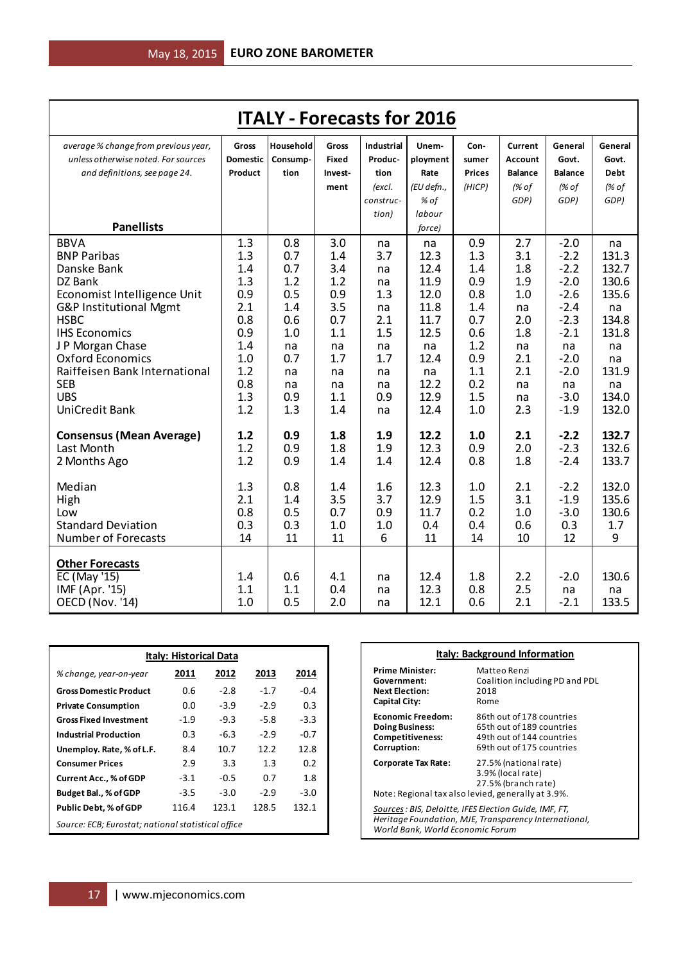| <b>ITALY - Forecasts for 2016</b>                                           |                          |                       |                       |                              |                   |               |                           |                  |                  |
|-----------------------------------------------------------------------------|--------------------------|-----------------------|-----------------------|------------------------------|-------------------|---------------|---------------------------|------------------|------------------|
| average % change from previous year,<br>unless otherwise noted. For sources | Gross<br><b>Domestic</b> | Household<br>Consump- | <b>Gross</b><br>Fixed | <b>Industrial</b><br>Produc- | Unem-<br>ployment | Con-<br>sumer | Current<br><b>Account</b> | General<br>Govt. | General<br>Govt. |
| and definitions, see page 24.                                               | Product                  | tion                  | Invest-               | tion                         | Rate              | <b>Prices</b> | <b>Balance</b>            | <b>Balance</b>   | <b>Debt</b>      |
|                                                                             |                          |                       | ment                  | (excl.                       | (EU defn.,        | (HICP)        | (% of                     | (% of            | (% of            |
|                                                                             |                          |                       |                       | construc-                    | % of              |               | GDP)                      | GDP)             | GDP)             |
|                                                                             |                          |                       |                       | tion)                        | labour            |               |                           |                  |                  |
| <b>Panellists</b>                                                           |                          |                       |                       |                              | force)            |               |                           |                  |                  |
| <b>BBVA</b>                                                                 | 1.3                      | 0.8                   | 3.0                   | na                           | na                | 0.9           | 2.7                       | $-2.0$           | na               |
| <b>BNP Paribas</b>                                                          | 1.3                      | 0.7                   | 1.4                   | 3.7                          | 12.3              | 1.3           | 3.1                       | $-2.2$           | 131.3            |
| Danske Bank                                                                 | 1.4                      | 0.7                   | 3.4                   | na                           | 12.4              | 1.4           | 1.8                       | $-2.2$           | 132.7            |
| DZ Bank                                                                     | 1.3                      | 1.2                   | 1.2                   | na                           | 11.9              | 0.9           | 1.9                       | $-2.0$           | 130.6            |
| Economist Intelligence Unit                                                 | 0.9                      | 0.5                   | 0.9                   | 1.3                          | 12.0              | 0.8           | 1.0                       | $-2.6$           | 135.6            |
| G&P Institutional Mgmt                                                      | 2.1                      | 1.4                   | 3.5                   | na                           | 11.8              | 1.4           | na                        | $-2.4$           | na               |
| <b>HSBC</b>                                                                 | 0.8                      | 0.6                   | 0.7                   | 2.1                          | 11.7              | 0.7           | 2.0                       | $-2.3$           | 134.8            |
| <b>IHS Economics</b>                                                        | 0.9                      | 1.0                   | 1.1                   | 1.5                          | 12.5              | 0.6           | 1.8                       | $-2.1$           | 131.8            |
| J P Morgan Chase                                                            | 1.4                      | na                    | na                    | na                           | na                | 1.2           | na                        | na               | na               |
| <b>Oxford Economics</b>                                                     | 1.0                      | 0.7                   | 1.7                   | 1.7                          | 12.4              | 0.9           | 2.1                       | $-2.0$           | na               |
| Raiffeisen Bank International                                               | 1.2                      | na                    | na                    | na                           | na                | 1.1           | 2.1                       | $-2.0$           | 131.9            |
| <b>SEB</b><br><b>UBS</b>                                                    | 0.8                      | na                    | na                    | na                           | 12.2<br>12.9      | 0.2           | na                        | na               | na               |
| <b>UniCredit Bank</b>                                                       | 1.3<br>1.2               | 0.9<br>1.3            | 1.1<br>1.4            | 0.9                          | 12.4              | 1.5<br>1.0    | na<br>2.3                 | $-3.0$<br>$-1.9$ | 134.0<br>132.0   |
|                                                                             |                          |                       |                       | na                           |                   |               |                           |                  |                  |
| <b>Consensus (Mean Average)</b>                                             | 1.2                      | 0.9                   | 1.8                   | 1.9                          | 12.2              | 1.0           | 2.1                       | $-2.2$           | 132.7            |
| Last Month                                                                  | 1.2                      | 0.9                   | 1.8                   | 1.9                          | 12.3              | 0.9           | 2.0                       | $-2.3$           | 132.6            |
| 2 Months Ago                                                                | 1.2                      | 0.9                   | 1.4                   | 1.4                          | 12.4              | 0.8           | 1.8                       | $-2.4$           | 133.7            |
| Median                                                                      | 1.3                      | 0.8                   | 1.4                   | 1.6                          | 12.3              | 1.0           | 2.1                       | $-2.2$           | 132.0            |
| High                                                                        | 2.1                      | 1.4                   | 3.5                   | 3.7                          | 12.9              | 1.5           | 3.1                       | $-1.9$           | 135.6            |
| Low                                                                         | 0.8                      | 0.5                   | 0.7                   | 0.9                          | 11.7              | 0.2           | 1.0                       | $-3.0$           | 130.6            |
| <b>Standard Deviation</b>                                                   | 0.3                      | 0.3                   | 1.0                   | 1.0                          | 0.4               | 0.4           | 0.6                       | 0.3              | 1.7              |
| <b>Number of Forecasts</b>                                                  | 14                       | 11                    | 11                    | 6                            | 11                | 14            | 10                        | 12               | 9                |
|                                                                             |                          |                       |                       |                              |                   |               |                           |                  |                  |
| <b>Other Forecasts</b>                                                      |                          |                       |                       |                              |                   |               |                           |                  |                  |
| EC (May '15)                                                                | 1.4                      | 0.6                   | 4.1                   | na                           | 12.4              | 1.8           | 2.2                       | $-2.0$           | 130.6            |
| IMF (Apr. '15)                                                              | 1.1                      | 1.1                   | 0.4                   | na                           | 12.3              | 0.8           | 2.5                       | na               | na               |
| <b>OECD (Nov. '14)</b>                                                      | 1.0                      | 0.5                   | 2.0                   | na                           | 12.1              | 0.6           | 2.1                       | $-2.1$           | 133.5            |

| <b>Italy: Historical Data</b>                      |        |        |        |        |  |  |
|----------------------------------------------------|--------|--------|--------|--------|--|--|
| % change, year-on-year                             | 2011   | 2012   | 2013   | 2014   |  |  |
| <b>Gross Domestic Product</b>                      | 0.6    | $-2.8$ | $-1.7$ | $-0.4$ |  |  |
| <b>Private Consumption</b>                         | 0.0    | $-3.9$ | $-2.9$ | 0.3    |  |  |
| <b>Gross Fixed Investment</b>                      | $-1.9$ | $-9.3$ | $-5.8$ | $-3.3$ |  |  |
| <b>Industrial Production</b>                       | 0.3    | $-6.3$ | $-2.9$ | $-0.7$ |  |  |
| Unemploy. Rate, % of L.F.                          | 8.4    | 10.7   | 12.2   | 12.8   |  |  |
| <b>Consumer Prices</b>                             | 2.9    | 3.3    | 1.3    | 0.2    |  |  |
| <b>Current Acc., % of GDP</b>                      | $-3.1$ | $-0.5$ | 0.7    | 1.8    |  |  |
| Budget Bal., % of GDP                              | $-3.5$ | $-3.0$ | $-2.9$ | $-3.0$ |  |  |
| <b>Public Debt, % of GDP</b>                       | 116.4  | 123.1  | 128.5  | 132.1  |  |  |
| Source: ECB; Eurostat; national statistical office |        |        |        |        |  |  |

| <b>Italy: Background Information</b> |                                            |  |  |  |  |
|--------------------------------------|--------------------------------------------|--|--|--|--|
| <b>Prime Minister:</b>               | Matteo Renzi                               |  |  |  |  |
| Government:                          | Coalition including PD and PDL             |  |  |  |  |
| <b>Next Election:</b>                | 2018                                       |  |  |  |  |
| Capital City:                        | Rome                                       |  |  |  |  |
| <b>Economic Freedom:</b>             | 86th out of 178 countries                  |  |  |  |  |
| <b>Doing Business:</b>               | 65th out of 189 countries                  |  |  |  |  |
| <b>Competitiveness:</b>              | 49th out of 144 countries                  |  |  |  |  |
| Corruption:                          | 69th out of 175 countries                  |  |  |  |  |
| Corporate Tax Rate:                  | 27.5% (national rate)<br>3.9% (local rate) |  |  |  |  |

27.5% (branch rate) Note: Regional tax also levied, generally at 3.9%. *Sources: BIS, Deloitte, IFES Election Guide, IMF, FT, Heritage Foundation, MJE, Transparency International, World Bank, World Economic Forum*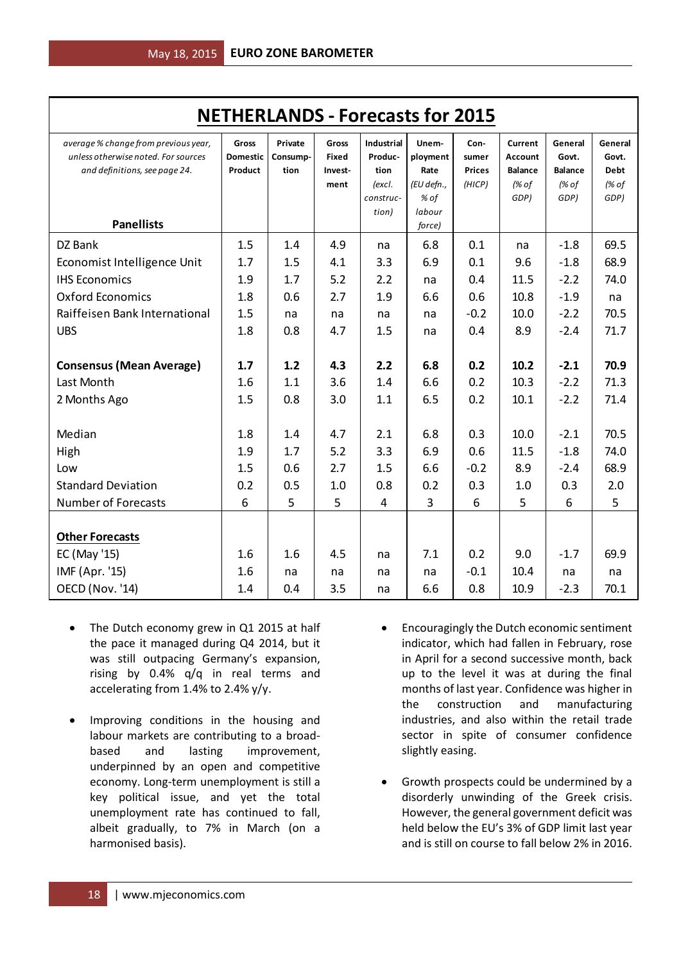| <b>NETHERLANDS - Forecasts for 2015</b>                                                                      |                                     |                             |                                                 |                                                             |                                                 |                                          |                                                              |                                                     |                                                  |
|--------------------------------------------------------------------------------------------------------------|-------------------------------------|-----------------------------|-------------------------------------------------|-------------------------------------------------------------|-------------------------------------------------|------------------------------------------|--------------------------------------------------------------|-----------------------------------------------------|--------------------------------------------------|
| average % change from previous year,<br>unless otherwise noted. For sources<br>and definitions, see page 24. | Gross<br><b>Domestic</b><br>Product | Private<br>Consump-<br>tion | <b>Gross</b><br><b>Fixed</b><br>Invest-<br>ment | <b>Industrial</b><br>Produc-<br>tion<br>(excl.<br>construc- | Unem-<br>ployment<br>Rate<br>(EU defn.,<br>% of | Con-<br>sumer<br><b>Prices</b><br>(HICP) | Current<br><b>Account</b><br><b>Balance</b><br>(% of<br>GDP) | General<br>Govt.<br><b>Balance</b><br>(% of<br>GDP) | General<br>Govt.<br><b>Debt</b><br>(% of<br>GDP) |
| <b>Panellists</b>                                                                                            |                                     |                             |                                                 | tion)                                                       | labour<br>force)                                |                                          |                                                              |                                                     |                                                  |
| DZ Bank<br>Economist Intelligence Unit                                                                       | 1.5<br>1.7                          | 1.4<br>1.5                  | 4.9<br>4.1                                      | na<br>3.3                                                   | 6.8<br>6.9                                      | 0.1<br>0.1                               | na<br>9.6                                                    | $-1.8$<br>$-1.8$                                    | 69.5<br>68.9                                     |
| <b>IHS Economics</b>                                                                                         | 1.9                                 | 1.7                         | 5.2                                             | 2.2                                                         | na                                              | 0.4                                      | 11.5                                                         | $-2.2$                                              | 74.0                                             |
| <b>Oxford Economics</b>                                                                                      | 1.8                                 | 0.6                         | 2.7                                             | 1.9                                                         | 6.6                                             | 0.6                                      | 10.8                                                         | $-1.9$                                              | na                                               |
| Raiffeisen Bank International<br><b>UBS</b>                                                                  | 1.5<br>1.8                          | na<br>0.8                   | na                                              | na                                                          | na                                              | $-0.2$                                   | 10.0<br>8.9                                                  | $-2.2$                                              | 70.5<br>71.7                                     |
|                                                                                                              |                                     |                             | 4.7                                             | 1.5                                                         | na                                              | 0.4                                      |                                                              | $-2.4$                                              |                                                  |
| <b>Consensus (Mean Average)</b>                                                                              | 1.7                                 | 1.2                         | 4.3                                             | 2.2                                                         | 6.8                                             | 0.2                                      | 10.2                                                         | $-2.1$                                              | 70.9                                             |
| Last Month                                                                                                   | 1.6                                 | 1.1                         | 3.6                                             | 1.4                                                         | 6.6                                             | 0.2                                      | 10.3                                                         | $-2.2$                                              | 71.3                                             |
| 2 Months Ago                                                                                                 | 1.5                                 | 0.8                         | 3.0                                             | 1.1                                                         | 6.5                                             | 0.2                                      | 10.1                                                         | $-2.2$                                              | 71.4                                             |
| Median                                                                                                       | 1.8                                 | 1.4                         | 4.7                                             | 2.1                                                         | 6.8                                             | 0.3                                      | 10.0                                                         | $-2.1$                                              | 70.5                                             |
| High                                                                                                         | 1.9                                 | 1.7                         | 5.2                                             | 3.3                                                         | 6.9                                             | 0.6                                      | 11.5                                                         | $-1.8$                                              | 74.0                                             |
| Low                                                                                                          | 1.5                                 | 0.6                         | 2.7                                             | 1.5                                                         | 6.6                                             | $-0.2$                                   | 8.9                                                          | $-2.4$                                              | 68.9                                             |
| <b>Standard Deviation</b>                                                                                    | 0.2                                 | 0.5                         | 1.0                                             | 0.8                                                         | 0.2                                             | 0.3                                      | 1.0                                                          | 0.3                                                 | 2.0                                              |
| <b>Number of Forecasts</b>                                                                                   | 6                                   | 5                           | 5                                               | 4                                                           | 3                                               | 6                                        | 5                                                            | 6                                                   | 5                                                |
| <b>Other Forecasts</b>                                                                                       |                                     |                             |                                                 |                                                             |                                                 |                                          |                                                              |                                                     |                                                  |
| EC (May '15)                                                                                                 | 1.6                                 | 1.6                         | 4.5                                             | na                                                          | 7.1                                             | 0.2                                      | 9.0                                                          | $-1.7$                                              | 69.9                                             |
| IMF (Apr. '15)                                                                                               | 1.6                                 | na                          | na                                              | na                                                          | na                                              | $-0.1$                                   | 10.4                                                         | na                                                  | na                                               |
| OECD (Nov. '14)                                                                                              | 1.4                                 | 0.4                         | 3.5                                             | na                                                          | 6.6                                             | 0.8                                      | 10.9                                                         | $-2.3$                                              | 70.1                                             |

- The Dutch economy grew in Q1 2015 at half the pace it managed during Q4 2014, but it was still outpacing Germany's expansion, rising by 0.4% q/q in real terms and accelerating from 1.4% to 2.4% y/y.
- Improving conditions in the housing and labour markets are contributing to a broadbased and lasting improvement, underpinned by an open and competitive economy. Long-term unemployment is still a key political issue, and yet the total unemployment rate has continued to fall, albeit gradually, to 7% in March (on a harmonised basis).
- Encouragingly the Dutch economic sentiment indicator, which had fallen in February, rose in April for a second successive month, back up to the level it was at during the final months of last year. Confidence was higher in the construction and manufacturing industries, and also within the retail trade sector in spite of consumer confidence slightly easing.
- Growth prospects could be undermined by a disorderly unwinding of the Greek crisis. However, the general government deficit was held below the EU's 3% of GDP limit last year and is still on course to fall below 2% in 2016.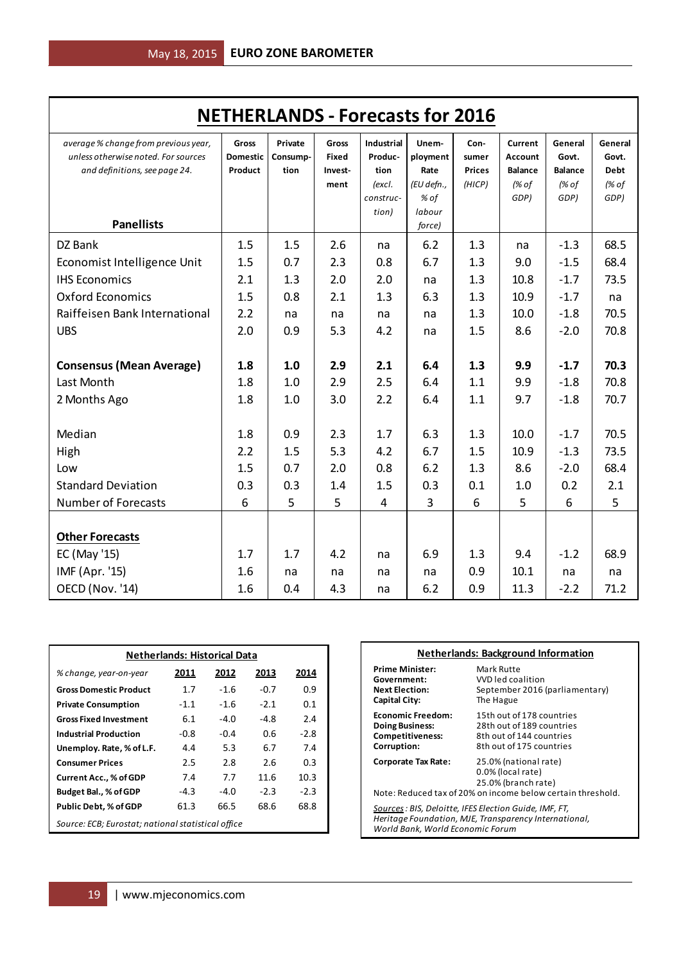| <b>NETHERLANDS - Forecasts for 2016</b>                                                                                           |                                     |                             |                                          |                                                                      |                                                                     |                                          |                                                              |                                                     |                                                  |
|-----------------------------------------------------------------------------------------------------------------------------------|-------------------------------------|-----------------------------|------------------------------------------|----------------------------------------------------------------------|---------------------------------------------------------------------|------------------------------------------|--------------------------------------------------------------|-----------------------------------------------------|--------------------------------------------------|
| average % change from previous year,<br>unless otherwise noted. For sources<br>and definitions, see page 24.<br><b>Panellists</b> | Gross<br><b>Domestic</b><br>Product | Private<br>Consump-<br>tion | Gross<br><b>Fixed</b><br>Invest-<br>ment | <b>Industrial</b><br>Produc-<br>tion<br>(excl.<br>construc-<br>tion) | Unem-<br>ployment<br>Rate<br>(EU defn.,<br>% of<br>labour<br>force) | Con-<br>sumer<br><b>Prices</b><br>(HICP) | Current<br><b>Account</b><br><b>Balance</b><br>(% of<br>GDP) | General<br>Govt.<br><b>Balance</b><br>(% of<br>GDP) | General<br>Govt.<br><b>Debt</b><br>(% of<br>GDP) |
| DZ Bank<br>Economist Intelligence Unit<br><b>IHS Economics</b>                                                                    | 1.5<br>1.5<br>2.1                   | 1.5<br>0.7<br>1.3           | 2.6<br>2.3<br>2.0                        | na<br>0.8<br>2.0                                                     | 6.2<br>6.7<br>na                                                    | 1.3<br>1.3<br>1.3                        | na<br>9.0<br>10.8                                            | $-1.3$<br>$-1.5$<br>$-1.7$                          | 68.5<br>68.4<br>73.5                             |
| <b>Oxford Economics</b><br>Raiffeisen Bank International<br><b>UBS</b>                                                            | 1.5<br>2.2<br>2.0                   | 0.8<br>na<br>0.9            | 2.1<br>na<br>5.3                         | 1.3<br>na<br>4.2                                                     | 6.3<br>na                                                           | 1.3<br>1.3<br>1.5                        | 10.9<br>10.0<br>8.6                                          | $-1.7$<br>$-1.8$<br>$-2.0$                          | na<br>70.5<br>70.8                               |
| <b>Consensus (Mean Average)</b>                                                                                                   | 1.8                                 | 1.0                         | 2.9                                      | 2.1                                                                  | na<br>6.4                                                           | 1.3                                      | 9.9                                                          | $-1.7$                                              | 70.3                                             |
| Last Month<br>2 Months Ago                                                                                                        | 1.8<br>1.8                          | 1.0<br>1.0                  | 2.9<br>3.0                               | 2.5<br>2.2                                                           | 6.4<br>6.4                                                          | 1.1<br>1.1                               | 9.9<br>9.7                                                   | $-1.8$<br>$-1.8$                                    | 70.8<br>70.7                                     |
| Median<br>High<br>Low                                                                                                             | 1.8<br>2.2<br>1.5                   | 0.9<br>1.5<br>0.7           | 2.3<br>5.3<br>2.0                        | 1.7<br>4.2<br>0.8                                                    | 6.3<br>6.7<br>6.2                                                   | 1.3<br>1.5<br>1.3                        | 10.0<br>10.9<br>8.6                                          | $-1.7$<br>$-1.3$<br>$-2.0$                          | 70.5<br>73.5<br>68.4                             |
| <b>Standard Deviation</b><br><b>Number of Forecasts</b>                                                                           | 0.3<br>6                            | 0.3<br>5                    | 1.4<br>5                                 | 1.5<br>$\overline{4}$                                                | 0.3<br>3                                                            | 0.1<br>6                                 | 1.0<br>5                                                     | 0.2<br>6                                            | 2.1<br>5                                         |
| <b>Other Forecasts</b><br>EC (May '15)<br>IMF (Apr. '15)                                                                          | 1.7<br>1.6                          | 1.7<br>na                   | 4.2<br>na                                | na<br>na                                                             | 6.9<br>na                                                           | 1.3<br>0.9                               | 9.4<br>10.1                                                  | $-1.2$<br>na                                        | 68.9<br>na                                       |
| OECD (Nov. '14)                                                                                                                   | 1.6                                 | 0.4                         | 4.3                                      | na                                                                   | 6.2                                                                 | 0.9                                      | 11.3                                                         | $-2.2$                                              | 71.2                                             |

| <b>Netherlands: Historical Data</b>                   |                              |        |        |        |  |  |  |  |
|-------------------------------------------------------|------------------------------|--------|--------|--------|--|--|--|--|
| % change, year-on-year                                | 2012<br>2011<br>2013<br>2014 |        |        |        |  |  |  |  |
| <b>Gross Domestic Product</b>                         | 1.7                          | $-1.6$ | $-0.7$ | 0.9    |  |  |  |  |
| <b>Private Consumption</b>                            | $-1.1$                       | $-1.6$ | $-2.1$ | 0.1    |  |  |  |  |
| <b>Gross Fixed Investment</b>                         | 6.1                          | -4.0   | $-4.8$ | 2.4    |  |  |  |  |
| <b>Industrial Production</b>                          | -0.8                         | $-0.4$ | 0.6    | $-2.8$ |  |  |  |  |
| Unemploy. Rate, % of L.F.                             | 4.4                          | 5.3    | 6.7    | 7.4    |  |  |  |  |
| <b>Consumer Prices</b>                                | 2.5                          | 2.8    | 2.6    | 0.3    |  |  |  |  |
| Current Acc., % of GDP                                | 7.4                          | 7.7    | 11.6   | 10.3   |  |  |  |  |
| Budget Bal., % of GDP                                 | $-4.3$                       | -4.0   | $-2.3$ | $-2.3$ |  |  |  |  |
| 68.6<br>61.3<br>66.5<br>68.8<br>Public Debt, % of GDP |                              |        |        |        |  |  |  |  |
| Source: ECB; Eurostat; national statistical office    |                              |        |        |        |  |  |  |  |

| <b>Netherlands: Background Information</b>                                                                                                              |                                                                                                                |  |  |  |  |
|---------------------------------------------------------------------------------------------------------------------------------------------------------|----------------------------------------------------------------------------------------------------------------|--|--|--|--|
| Prime Minister:<br>Government:<br><b>Next Election:</b><br>Capital City:                                                                                | Mark Rutte<br>VVD led coalition<br>September 2016 (parliamentary)<br>The Hague                                 |  |  |  |  |
| <b>Economic Freedom:</b><br><b>Doing Business:</b><br><b>Competitiveness:</b><br>Corruption:                                                            | 15th out of 178 countries<br>28th out of 189 countries<br>8th out of 144 countries<br>8th out of 175 countries |  |  |  |  |
| 25.0% (national rate)<br>Corporate Tax Rate:<br>0.0% (local rate)<br>25.0% (branch rate)<br>Note: Reduced tax of 20% on income below certain threshold. |                                                                                                                |  |  |  |  |
| Sources : BIS, Deloitte, IFES Election Guide, IMF, FT,<br>Heritage Foundation, MJE, Transparency International,<br>World Bank, World Economic Forum     |                                                                                                                |  |  |  |  |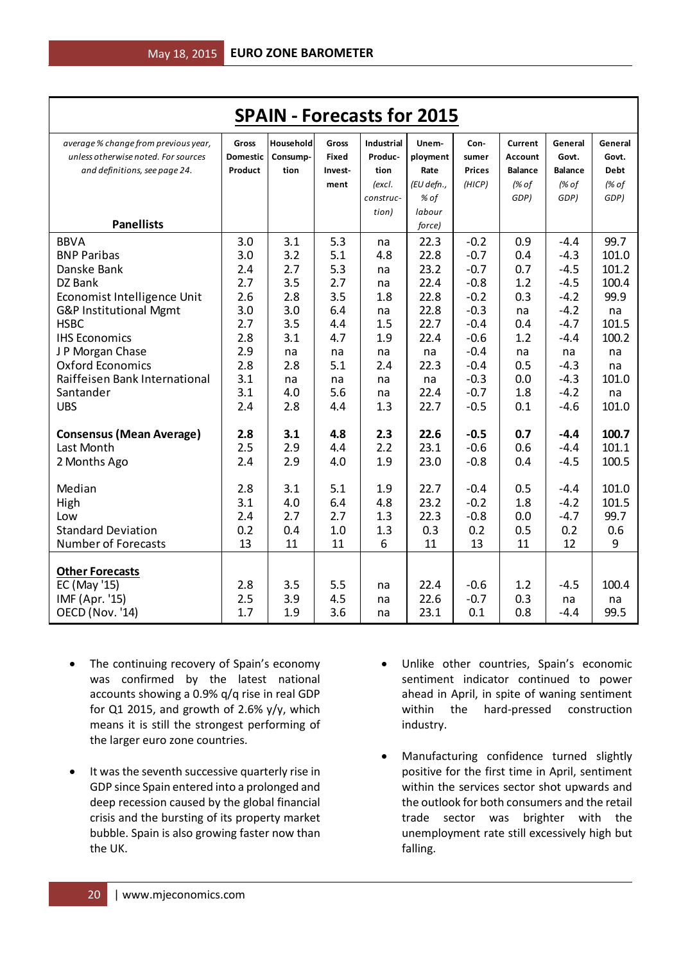| <b>SPAIN - Forecasts for 2015</b>    |                 |            |              |                   |            |               |                |                |             |
|--------------------------------------|-----------------|------------|--------------|-------------------|------------|---------------|----------------|----------------|-------------|
| average % change from previous year, | <b>Gross</b>    | Household  | Gross        | <b>Industrial</b> | Unem-      | Con-          | <b>Current</b> | General        | General     |
| unless otherwise noted. For sources  | <b>Domestic</b> | Consump-   | <b>Fixed</b> | Produc-           | ployment   | sumer         | <b>Account</b> | Govt.          | Govt.       |
| and definitions, see page 24.        | Product         | tion       | Invest-      | tion              | Rate       | <b>Prices</b> | <b>Balance</b> | <b>Balance</b> | <b>Debt</b> |
|                                      |                 |            | ment         | (excl.            | (EU defn., | (HICP)        | (% of          | (% of          | (% of       |
|                                      |                 |            |              | construc-         | % of       |               | GDP)           | GDP)           | GDP)        |
|                                      |                 |            |              | tion)             | labour     |               |                |                |             |
| <b>Panellists</b>                    |                 |            |              |                   | force)     |               |                |                |             |
| <b>BBVA</b>                          | 3.0             | 3.1        | 5.3          | na                | 22.3       | $-0.2$        | 0.9            | $-4.4$         | 99.7        |
| <b>BNP Paribas</b>                   | 3.0             | 3.2        | 5.1          | 4.8               | 22.8       | $-0.7$        | 0.4            | $-4.3$         | 101.0       |
| Danske Bank                          | 2.4             | 2.7        | 5.3          | na                | 23.2       | $-0.7$        | 0.7            | $-4.5$         | 101.2       |
| DZ Bank                              | 2.7             | 3.5        | 2.7          | na                | 22.4       | $-0.8$        | 1.2            | $-4.5$         | 100.4       |
| Economist Intelligence Unit          | 2.6             | 2.8        | 3.5          | 1.8               | 22.8       | $-0.2$        | 0.3            | $-4.2$         | 99.9        |
| G&P Institutional Mgmt               | 3.0             | 3.0        | 6.4          | na                | 22.8       | $-0.3$        | na             | $-4.2$         | na          |
| <b>HSBC</b>                          | 2.7             | 3.5        | 4.4          | 1.5               | 22.7       | $-0.4$        | 0.4            | $-4.7$         | 101.5       |
| <b>IHS Economics</b>                 | 2.8             | 3.1        | 4.7          | 1.9               | 22.4       | $-0.6$        | 1.2            | $-4.4$         | 100.2       |
| J P Morgan Chase                     | 2.9             | na         | na           | na                | na         | $-0.4$        | na             | na             | na          |
| <b>Oxford Economics</b>              | 2.8             | 2.8        | 5.1          | 2.4               | 22.3       | $-0.4$        | 0.5            | $-4.3$         | na          |
| Raiffeisen Bank International        | 3.1             | na         | na           | na                | na         | $-0.3$        | 0.0            | $-4.3$         | 101.0       |
| Santander                            | 3.1             | 4.0        | 5.6          | na                | 22.4       | $-0.7$        | 1.8            | $-4.2$         | na          |
| <b>UBS</b>                           | 2.4             | 2.8        | 4.4          | 1.3               | 22.7       | $-0.5$        | 0.1            | $-4.6$         | 101.0       |
| <b>Consensus (Mean Average)</b>      | 2.8             | 3.1        | 4.8          | 2.3               | 22.6       | $-0.5$        | 0.7            | $-4.4$         | 100.7       |
| Last Month                           | 2.5             | 2.9        | 4.4          | 2.2               | 23.1       | $-0.6$        | 0.6            | $-4.4$         | 101.1       |
| 2 Months Ago                         | 2.4             | 2.9        | 4.0          | 1.9               | 23.0       | $-0.8$        | 0.4            | $-4.5$         | 100.5       |
|                                      |                 |            |              |                   |            |               |                |                |             |
| Median                               | 2.8             | 3.1        | 5.1          | 1.9               | 22.7       | $-0.4$        | 0.5            | $-4.4$         | 101.0       |
| High                                 | 3.1             | 4.0        | 6.4          | 4.8               | 23.2       | $-0.2$        | 1.8            | $-4.2$         | 101.5       |
| Low                                  | 2.4             | 2.7        | 2.7          | 1.3               | 22.3       | $-0.8$        | 0.0            | $-4.7$         | 99.7        |
| <b>Standard Deviation</b>            | 0.2             | 0.4        | 1.0          | 1.3               | 0.3        | 0.2           | 0.5            | 0.2            | 0.6         |
| <b>Number of Forecasts</b>           | 13              | 11         | 11           | 6                 | 11         | 13            | 11             | 12             | 9           |
|                                      |                 |            |              |                   |            |               |                |                |             |
| <b>Other Forecasts</b>               | 2.8             |            | 5.5          |                   | 22.4       | $-0.6$        | 1.2            |                | 100.4       |
| EC (May '15)                         | 2.5             | 3.5<br>3.9 | 4.5          | na                | 22.6       | $-0.7$        | 0.3            | $-4.5$         |             |
| IMF (Apr. '15)<br>OECD (Nov. '14)    | 1.7             | 1.9        | 3.6          | na                | 23.1       | 0.1           | 0.8            | na<br>$-4.4$   | na<br>99.5  |
|                                      |                 |            |              | na                |            |               |                |                |             |

- The continuing recovery of Spain's economy was confirmed by the latest national accounts showing a 0.9% q/q rise in real GDP for Q1 2015, and growth of 2.6%  $y/y$ , which means it is still the strongest performing of the larger euro zone countries.
- It was the seventh successive quarterly rise in GDP since Spain entered into a prolonged and deep recession caused by the global financial crisis and the bursting of its property market bubble. Spain is also growing faster now than the UK.
- Unlike other countries, Spain's economic sentiment indicator continued to power ahead in April, in spite of waning sentiment within the hard-pressed construction industry.
- Manufacturing confidence turned slightly positive for the first time in April, sentiment within the services sector shot upwards and the outlook for both consumers and the retail trade sector was brighter with the unemployment rate still excessively high but falling.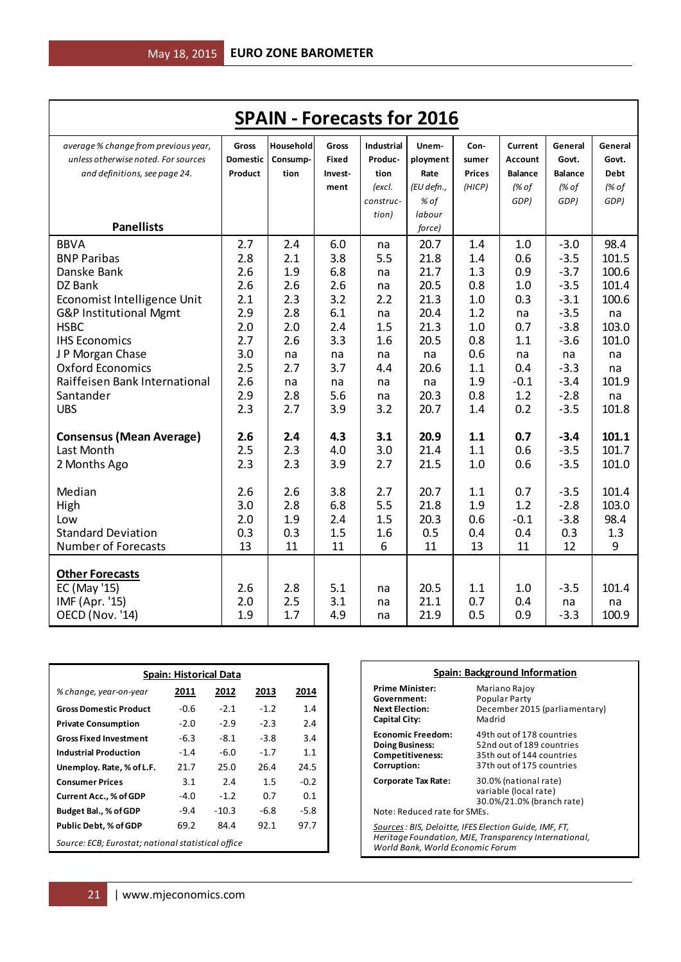| <b>SPAIN - Forecasts for 2016</b>                                           |                   |                   |                   |                              |                                        |                   |                   |                        |                      |
|-----------------------------------------------------------------------------|-------------------|-------------------|-------------------|------------------------------|----------------------------------------|-------------------|-------------------|------------------------|----------------------|
| average % change from previous year,                                        | <b>Gross</b>      | Household         | <b>Gross</b>      | <b>Industrial</b>            | Unem-                                  | Con-              | Current           | General                | General              |
| unless otherwise noted. For sources                                         | <b>Domestic</b>   | Consump-          | <b>Fixed</b>      | Produc-                      | ployment                               | sumer             | Account           | Govt.                  | Govt.                |
| and definitions, see page 24.                                               | Product           | tion              | Invest-           | tion                         | Rate                                   | <b>Prices</b>     | <b>Balance</b>    | <b>Balance</b>         | <b>Debt</b>          |
| <b>Panellists</b>                                                           |                   |                   | ment              | (excl.<br>construc-<br>tion) | (EU defn.,<br>% of<br>labour<br>force) | (HICP)            | (% of<br>GDP)     | (% of<br>GDP)          | (% of<br>GDP)        |
| <b>BBVA</b>                                                                 | 2.7               | 2.4               | 6.0               | na                           | 20.7                                   | 1.4               | 1.0               | $-3.0$                 | 98.4                 |
| <b>BNP Paribas</b>                                                          | 2.8               | 2.1               | 3.8               | 5.5                          | 21.8                                   | 1.4               | 0.6               | $-3.5$                 | 101.5                |
| Danske Bank                                                                 | 2.6               | 1.9               | 6.8               | na                           | 21.7                                   | 1.3               | 0.9               | $-3.7$                 | 100.6                |
| DZ Bank                                                                     | 2.6               | 2.6               | 2.6               | na                           | 20.5                                   | 0.8               | 1.0               | $-3.5$                 | 101.4                |
| Economist Intelligence Unit                                                 | 2.1               | 2.3               | 3.2               | 2.2                          | 21.3                                   | 1.0               | 0.3               | $-3.1$                 | 100.6                |
| G&P Institutional Mgmt                                                      | 2.9               | 2.8               | 6.1               | na                           | 20.4                                   | 1.2               | na                | $-3.5$                 | na                   |
| <b>HSBC</b>                                                                 | 2.0               | 2.0               | 2.4               | 1.5                          | 21.3                                   | 1.0               | 0.7               | $-3.8$                 | 103.0                |
| <b>IHS Economics</b>                                                        | 2.7               | 2.6               | 3.3               | 1.6                          | 20.5                                   | 0.8               | 1.1               | $-3.6$                 | 101.0                |
| J P Morgan Chase                                                            | 3.0               | na                | na                | na                           | na                                     | 0.6               | na                | na                     | na                   |
| <b>Oxford Economics</b>                                                     | 2.5               | 2.7               | 3.7               | 4.4                          | 20.6                                   | 1.1               | 0.4               | $-3.3$                 | na                   |
| Raiffeisen Bank International                                               | 2.6               | na                | na                | na                           | na                                     | 1.9               | $-0.1$            | $-3.4$                 | 101.9                |
| Santander                                                                   | 2.9               | 2.8               | 5.6               | na                           | 20.3                                   | 0.8               | 1.2               | $-2.8$                 | na                   |
| <b>UBS</b>                                                                  | 2.3               | 2.7               | 3.9               | 3.2                          | 20.7                                   | 1.4               | 0.2               | $-3.5$                 | 101.8                |
| <b>Consensus (Mean Average)</b>                                             | 2.6               | 2.4               | 4.3               | 3.1                          | 20.9                                   | 1.1               | 0.7               | $-3.4$                 | 101.1                |
| Last Month                                                                  | 2.5               | 2.3               | 4.0               | 3.0                          | 21.4                                   | 1.1               | 0.6               | $-3.5$                 | 101.7                |
| 2 Months Ago                                                                | 2.3               | 2.3               | 3.9               | 2.7                          | 21.5                                   | 1.0               | 0.6               | $-3.5$                 | 101.0                |
| Median                                                                      | 2.6               | 2.6               | 3.8               | 2.7                          | 20.7                                   | 1.1               | 0.7               | $-3.5$                 | 101.4                |
| High                                                                        | 3.0               | 2.8               | 6.8               | 5.5                          | 21.8                                   | 1.9               | 1.2               | $-2.8$                 | 103.0                |
| Low                                                                         | 2.0               | 1.9               | 2.4               | 1.5                          | 20.3                                   | 0.6               | $-0.1$            | $-3.8$                 | 98.4                 |
| <b>Standard Deviation</b>                                                   | 0.3               | 0.3               | 1.5               | 1.6                          | 0.5                                    | 0.4               | 0.4               | 0.3                    | 1.3                  |
| <b>Number of Forecasts</b>                                                  | 13                | 11                | 11                | 6                            | 11                                     | 13                | 11                | 12                     | 9                    |
| <b>Other Forecasts</b><br>EC (May '15)<br>IMF (Apr. '15)<br>OECD (Nov. '14) | 2.6<br>2.0<br>1.9 | 2.8<br>2.5<br>1.7 | 5.1<br>3.1<br>4.9 | na<br>na<br>na               | 20.5<br>21.1<br>21.9                   | 1.1<br>0.7<br>0.5 | 1.0<br>0.4<br>0.9 | $-3.5$<br>na<br>$-3.3$ | 101.4<br>na<br>100.9 |

| <b>Spain: Historical Data</b>                         |                              |         |        |        |  |  |  |  |
|-------------------------------------------------------|------------------------------|---------|--------|--------|--|--|--|--|
| % change, year-on-year                                | 2012<br>2013<br>2011<br>2014 |         |        |        |  |  |  |  |
| <b>Gross Domestic Product</b>                         | $-0.6$                       | $-2.1$  | $-1.2$ | 1.4    |  |  |  |  |
| <b>Private Consumption</b>                            | $-2.0$                       | $-2.9$  | $-2.3$ | 2.4    |  |  |  |  |
| <b>Gross Fixed Investment</b>                         | $-6.3$                       | $-8.1$  | $-3.8$ | 3.4    |  |  |  |  |
| <b>Industrial Production</b>                          | $-1.4$                       | $-6.0$  | $-1.7$ | 1.1    |  |  |  |  |
| Unemploy. Rate, % of L.F.                             | 21.7                         | 25.0    | 26.4   | 24.5   |  |  |  |  |
| <b>Consumer Prices</b>                                | 3.1                          | 2.4     | 1.5    | $-0.2$ |  |  |  |  |
| <b>Current Acc., % of GDP</b>                         | $-4.0$                       | $-1.2$  | 0.7    | 0.1    |  |  |  |  |
| Budget Bal., % of GDP                                 | $-9.4$                       | $-10.3$ | -6.8   | $-5.8$ |  |  |  |  |
| 69.2<br>84.4<br>92.1<br>Public Debt, % of GDP<br>97.7 |                              |         |        |        |  |  |  |  |
| Source: ECB; Eurostat; national statistical office    |                              |         |        |        |  |  |  |  |

| Spain: Background Information                                                                                                                       |                                                                                                                  |  |  |  |  |
|-----------------------------------------------------------------------------------------------------------------------------------------------------|------------------------------------------------------------------------------------------------------------------|--|--|--|--|
| <b>Prime Minister:</b><br>Government:<br><b>Next Election:</b><br>Capital City:                                                                     | Mariano Rajoy<br>Popular Party<br>December 2015 (parliamentary)<br>Madrid                                        |  |  |  |  |
| <b>Economic Freedom:</b><br><b>Doing Business:</b><br><b>Competitiveness:</b><br>Corruption:                                                        | 49th out of 178 countries<br>52nd out of 189 countries<br>35th out of 144 countries<br>37th out of 175 countries |  |  |  |  |
| 30.0% (national rate)<br>Corporate Tax Rate:<br>variable (local rate)<br>30.0%/21.0% (branch rate)<br>Note: Reduced rate for SMEs.                  |                                                                                                                  |  |  |  |  |
| Sources : BIS, Deloitte, IFES Election Guide, IMF, FT,<br>Heritage Foundation, MJE, Transparency International,<br>World Bank, World Economic Forum |                                                                                                                  |  |  |  |  |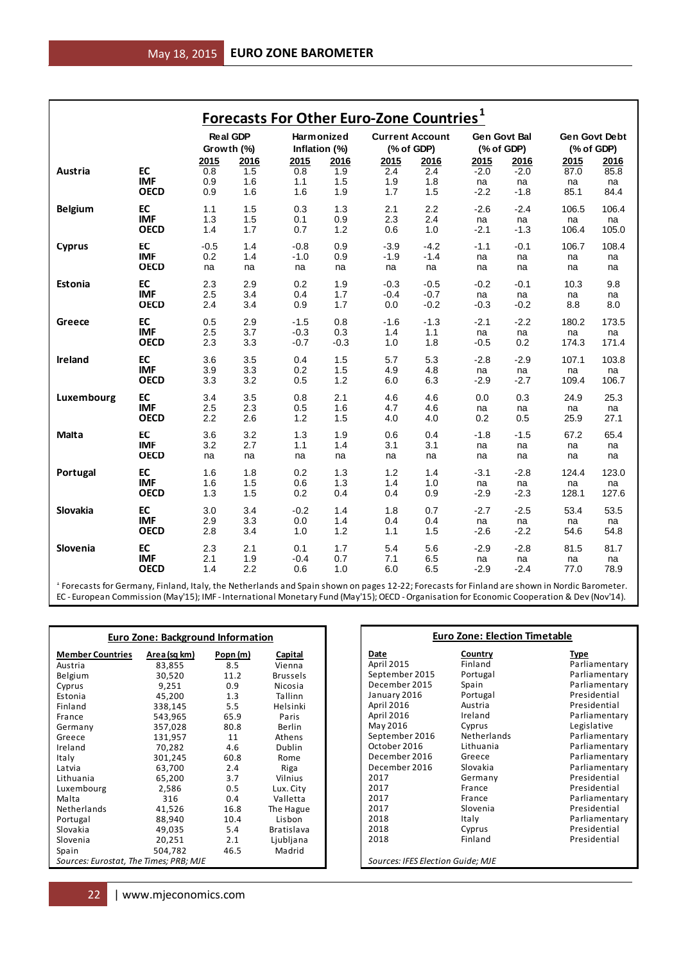|                                                                                                                                               |                                          |                     |                   | <b>Forecasts For Other Euro-Zone Countries</b> <sup>1</sup> |                      |                                |                                   |                                      |                        |                      |                                |
|-----------------------------------------------------------------------------------------------------------------------------------------------|------------------------------------------|---------------------|-------------------|-------------------------------------------------------------|----------------------|--------------------------------|-----------------------------------|--------------------------------------|------------------------|----------------------|--------------------------------|
|                                                                                                                                               |                                          | <b>Real GDP</b>     |                   | Harmonized                                                  |                      |                                | <b>Current Account</b>            | <b>Gen Govt Bal</b>                  |                        | Gen Govt Debt        |                                |
|                                                                                                                                               |                                          | Growth (%)<br>2015  | 2016              | Inflation (%)<br>2015                                       | 2016                 | 2015                           | (% of GDP)<br>2016                | (% of GDP)<br>2015                   | 2016                   | (% of GDP)<br>2015   | 2016                           |
| Austria                                                                                                                                       | EC<br><b>IMF</b>                         | 0.8<br>0.9          | 1.5<br>1.6        | 0.8<br>1.1                                                  | 1.9<br>1.5           | 2.4<br>1.9                     | 2.4<br>1.8                        | $-2.0$<br>na                         | $-2.0$<br>na           | 87.0<br>na           | 85.8<br>na                     |
|                                                                                                                                               | <b>OECD</b>                              | 0.9                 | 1.6               | 1.6                                                         | 1.9                  | 1.7                            | 1.5                               | $-2.2$                               | $-1.8$                 | 85.1                 | 84.4                           |
| <b>Belgium</b>                                                                                                                                | EC<br><b>IMF</b>                         | 1.1<br>1.3          | 1.5<br>1.5        | 0.3<br>0.1                                                  | 1.3<br>0.9           | 2.1<br>2.3                     | 2.2<br>2.4                        | $-2.6$<br>na                         | $-2.4$<br>na           | 106.5<br>na          | 106.4<br>na                    |
|                                                                                                                                               | <b>OECD</b>                              | 1.4                 | 1.7               | 0.7                                                         | 1.2                  | 0.6                            | 1.0                               | $-2.1$                               | $-1.3$                 | 106.4                | 105.0                          |
| <b>Cyprus</b>                                                                                                                                 | EC<br><b>IMF</b><br><b>OECD</b>          | $-0.5$<br>0.2<br>na | 1.4<br>1.4<br>na  | $-0.8$<br>$-1.0$<br>na                                      | 0.9<br>0.9<br>na     | $-3.9$<br>$-1.9$<br>na         | $-4.2$<br>-1.4<br>na              | $-1.1$<br>na<br>na                   | $-0.1$<br>na<br>na     | 106.7<br>na<br>na    | 108.4<br>na<br>na              |
| Estonia                                                                                                                                       | EC<br><b>IMF</b>                         | 2.3<br>2.5          | 2.9<br>3.4        | 0.2<br>0.4                                                  | 1.9<br>1.7           | $-0.3$<br>$-0.4$               | $-0.5$<br>$-0.7$                  | $-0.2$<br>na                         | $-0.1$<br>na           | 10.3<br>na           | 9.8<br>na                      |
|                                                                                                                                               | <b>OECD</b><br>EC                        | 2.4                 | 3.4<br>2.9        | 0.9                                                         | 1.7                  | 0.0                            | $-0.2$<br>$-1.3$                  | $-0.3$                               | $-0.2$                 | 8.8                  | 8.0<br>173.5                   |
| Greece                                                                                                                                        | <b>IMF</b><br><b>OECD</b>                | 0.5<br>2.5<br>2.3   | 3.7<br>3.3        | $-1.5$<br>$-0.3$<br>$-0.7$                                  | 0.8<br>0.3<br>$-0.3$ | $-1.6$<br>1.4<br>1.0           | 1.1<br>1.8                        | $-2.1$<br>na<br>$-0.5$               | $-2.2$<br>na<br>0.2    | 180.2<br>na<br>174.3 | na<br>171.4                    |
| Ireland                                                                                                                                       | EC<br><b>IMF</b>                         | 3.6<br>3.9          | 3.5<br>3.3        | 0.4<br>0.2                                                  | 1.5<br>1.5           | 5.7<br>4.9                     | 5.3<br>4.8                        | $-2.8$<br>na                         | $-2.9$<br>na           | 107.1<br>na          | 103.8<br>na                    |
|                                                                                                                                               | <b>OECD</b>                              | 3.3                 | 3.2               | 0.5                                                         | 1.2                  | 6.0                            | 6.3                               | $-2.9$                               | $-2.7$                 | 109.4                | 106.7                          |
| Luxembourg                                                                                                                                    | EC<br><b>IMF</b><br><b>OECD</b>          | 3.4<br>2.5<br>2.2   | 3.5<br>2.3<br>2.6 | 0.8<br>0.5<br>1.2                                           | 2.1<br>1.6<br>1.5    | 4.6<br>4.7<br>4.0              | 4.6<br>4.6<br>4.0                 | 0.0<br>na<br>0.2                     | 0.3<br>na<br>0.5       | 24.9<br>na<br>25.9   | 25.3<br>na<br>27.1             |
| Malta                                                                                                                                         | EC                                       | 3.6                 | 3.2               | 1.3                                                         | 1.9                  | 0.6                            | 0.4                               | $-1.8$                               | $-1.5$                 | 67.2                 | 65.4                           |
|                                                                                                                                               | <b>IMF</b><br><b>OECD</b>                | 3.2<br>na           | 2.7<br>na         | 1.1<br>na                                                   | 1.4<br>na            | 3.1<br>na                      | 3.1<br>na                         | na<br>na                             | na<br>na               | na<br>na             | na<br>na                       |
| Portugal                                                                                                                                      | EC<br><b>IMF</b><br><b>OECD</b>          | 1.6<br>1.6<br>1.3   | 1.8<br>1.5<br>1.5 | 0.2<br>0.6<br>0.2                                           | 1.3<br>1.3<br>0.4    | 1.2<br>1.4<br>0.4              | 1.4<br>1.0<br>0.9                 | $-3.1$<br>na<br>$-2.9$               | $-2.8$<br>na<br>$-2.3$ | 124.4<br>na<br>128.1 | 123.0<br>na<br>127.6           |
| Slovakia                                                                                                                                      | EC                                       | 3.0                 | 3.4               | $-0.2$                                                      | 1.4                  | 1.8                            | 0.7                               | $-2.7$                               | $-2.5$                 | 53.4                 | 53.5                           |
|                                                                                                                                               | <b>IMF</b><br><b>OECD</b>                | 2.9<br>2.8          | 3.3<br>3.4        | 0.0<br>1.0                                                  | 1.4<br>1.2           | 0.4<br>1.1                     | 0.4<br>1.5                        | na<br>$-2.6$                         | na<br>$-2.2$           | na<br>54.6           | na<br>54.8                     |
| Slovenia                                                                                                                                      | EC<br><b>IMF</b><br><b>OECD</b>          | 2.3<br>2.1<br>1.4   | 2.1<br>1.9<br>2.2 | 0.1<br>$-0.4$<br>0.6                                        | 1.7<br>0.7<br>1.0    | 5.4<br>7.1<br>6.0              | 5.6<br>6.5<br>6.5                 | $-2.9$<br>na<br>$-2.9$               | $-2.8$<br>na<br>$-2.4$ | 81.5<br>na<br>77.0   | 81.7<br>na<br>78.9             |
| f Forecasts for Germany, Finland, Italy, the Netherlands and Spain shown on pages 12-22; Forecasts for Finland are shown in Nordic Barometer. |                                          |                     |                   |                                                             |                      |                                |                                   |                                      |                        |                      |                                |
| EC - European Commission (May'15); IMF - International Monetary Fund (May'15); OECD - Organisation for Economic Cooperation & Dev (Nov'14).   |                                          |                     |                   |                                                             |                      |                                |                                   |                                      |                        |                      |                                |
|                                                                                                                                               |                                          |                     |                   |                                                             |                      |                                |                                   |                                      |                        |                      |                                |
|                                                                                                                                               | <b>Euro Zone: Background Information</b> |                     |                   |                                                             |                      |                                |                                   | <b>Euro Zone: Election Timetable</b> |                        |                      |                                |
| <b>Member Countries</b>                                                                                                                       | Area (sq km)                             | Popn (m)<br>8.5     |                   | Capital                                                     |                      | Date<br>April 2015             |                                   | Country<br>Finland                   |                        | <b>Type</b>          | Parliamentary                  |
| Austria<br>Belgium                                                                                                                            | 83,855<br>30,520                         | 11.2                |                   | Vienna<br><b>Brussels</b>                                   |                      | September 2015                 |                                   | Portugal                             |                        |                      | Parliamentary                  |
| Cyprus                                                                                                                                        | 9,251                                    | 0.9<br>1.3          |                   | Nicosia                                                     |                      | December 2015<br>January 2016  |                                   | Spain<br>Portugal                    |                        |                      | Parliamentary<br>Presidential  |
| Estonia<br>Finland                                                                                                                            | 45,200<br>338,145                        | 5.5                 |                   | Tallinn<br>Helsinki                                         |                      | April 2016                     |                                   | Austria                              |                        |                      | Presidential                   |
| France                                                                                                                                        | 543,965                                  | 65.9                |                   | Paris                                                       |                      | April 2016                     |                                   | Ireland                              |                        |                      | Parliamentary                  |
| Germany                                                                                                                                       | 357,028                                  | 80.8                |                   | Berlin                                                      |                      | May 2016                       |                                   | Cyprus<br>Netherlands                |                        | Legislative          |                                |
| Greece<br>Ireland                                                                                                                             | 131,957<br>70,282                        | 11<br>4.6           |                   | Athens<br>Dublin                                            |                      | September 2016<br>October 2016 |                                   | Lithuania                            |                        |                      | Parliamentary<br>Parliamentary |
| Italy                                                                                                                                         | 301,245                                  | 60.8                |                   | Rome                                                        |                      | December 2016                  |                                   | Greece                               |                        |                      | Parliamentary                  |
| Latvia                                                                                                                                        | 63,700                                   | 2.4                 |                   | Riga                                                        |                      | December 2016                  |                                   | <b>Slovakia</b>                      |                        |                      | Parliamentary                  |
| Lithuania                                                                                                                                     | 65,200                                   | 3.7                 |                   | Vilnius                                                     |                      | 2017                           |                                   | Germany                              |                        |                      | Presidential                   |
| Luxembourg<br>Malta                                                                                                                           | 2,586<br>316                             | 0.5<br>0.4          |                   | Lux. City<br>Valletta                                       |                      | 2017<br>2017                   |                                   | France<br>France                     |                        |                      | Presidential<br>Parliamentary  |
| Netherlands                                                                                                                                   | 41,526                                   | 16.8                |                   | The Hague                                                   |                      | 2017                           |                                   | Slovenia                             |                        |                      | Presidential                   |
| Portugal                                                                                                                                      | 88,940                                   | 10.4                |                   | Lisbon                                                      |                      | 2018                           |                                   | Italy                                |                        |                      | Parliamentary                  |
| Slovakia                                                                                                                                      | 49,035                                   | 5.4                 |                   | Bratislava                                                  |                      | 2018<br>2018                   |                                   | Cyprus<br>Finland                    |                        |                      | Presidential<br>Presidential   |
| Slovenia<br>Spain                                                                                                                             | 20,251<br>504,782                        | 2.1<br>46.5         |                   | Ljubljana<br>Madrid                                         |                      |                                |                                   |                                      |                        |                      |                                |
| Sources: Eurostat, The Times; PRB; MJE                                                                                                        |                                          |                     |                   |                                                             |                      |                                | Sources: IFES Election Guide; MJE |                                      |                        |                      |                                |
|                                                                                                                                               |                                          |                     |                   |                                                             |                      |                                |                                   |                                      |                        |                      |                                |
| 22                                                                                                                                            | www.mjeconomics.com                      |                     |                   |                                                             |                      |                                |                                   |                                      |                        |                      |                                |

| <b>Euro Zone: Background Information</b> |              |          |                 |  |  |  |
|------------------------------------------|--------------|----------|-----------------|--|--|--|
| <b>Member Countries</b>                  | Area (sq km) | Popn (m) | Capital         |  |  |  |
| Austria                                  | 83,855       | 8.5      | Vienna          |  |  |  |
| Belgium                                  | 30,520       | 11.2     | <b>Brussels</b> |  |  |  |
| Cyprus                                   | 9,251        | 0.9      | Nicosia         |  |  |  |
| Estonia                                  | 45,200       | 1.3      | Tallinn         |  |  |  |
| Finland                                  | 338,145      | 5.5      | Helsinki        |  |  |  |
| France                                   | 543,965      | 65.9     | Paris           |  |  |  |
| Germany                                  | 357,028      | 80.8     | Berlin          |  |  |  |
| Greece                                   | 131,957      | 11       | Athens          |  |  |  |
| Ireland                                  | 70,282       | 4.6      | Dublin          |  |  |  |
| Italy                                    | 301,245      | 60.8     | Rome            |  |  |  |
| Latvia                                   | 63,700       | 2.4      | Riga            |  |  |  |
| Lithuania                                | 65,200       | 3.7      | Vilnius         |  |  |  |
| Luxembourg                               | 2,586        | 0.5      | Lux. City       |  |  |  |
| Malta                                    | 316          | 0.4      | Valletta        |  |  |  |
| Netherlands                              | 41,526       | 16.8     | The Hague       |  |  |  |
| Portugal                                 | 88,940       | 10.4     | Lisbon          |  |  |  |
| Slovakia                                 | 49,035       | 5.4      | Bratislava      |  |  |  |
| Slovenia                                 | 20,251       | 2.1      | Ljubljana       |  |  |  |
| Spain                                    | 504,782      | 46.5     | Madrid          |  |  |  |
| Sources: Eurostat, The Times; PRB; MJE   |              |          |                 |  |  |  |

#### **Euro Zone: Election Timetable**

# Finland Parliamentary<br>
Portugal Parliamentary Lithuania Parliamentary<br>Greece Parliamentary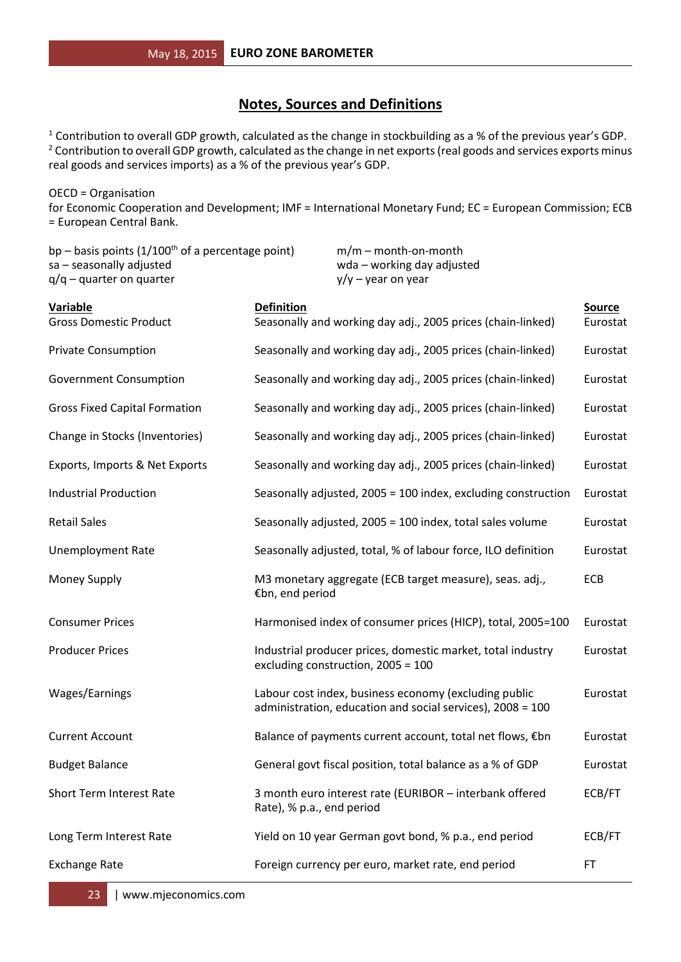#### **Notes, Sources and Definitions**

<sup>1</sup> Contribution to overall GDP growth, calculated as the change in stockbuilding as a % of the previous year's GDP. <sup>2</sup> Contribution to overall GDP growth, calculated as the change in net exports (real goods and services exports minus real goods and services imports) as a % of the previous year's GDP.

OECD = Organisation for Economic Cooperation and Development; IMF = International Monetary Fund; EC = European Commission; ECB = European Central Bank.

| bp – basis points $(1/100th$ of a percentage point)<br>sa - seasonally adjusted<br>$q/q$ – quarter on quarter |                           | $m/m$ – month-on-month<br>wda - working day adjusted<br>$y/y - y$ ear on year |                                                               |                           |
|---------------------------------------------------------------------------------------------------------------|---------------------------|-------------------------------------------------------------------------------|---------------------------------------------------------------|---------------------------|
| <b>Variable</b><br><b>Gross Domestic Product</b>                                                              | <b>Definition</b>         |                                                                               | Seasonally and working day adj., 2005 prices (chain-linked)   | <b>Source</b><br>Eurostat |
| <b>Private Consumption</b>                                                                                    |                           |                                                                               | Seasonally and working day adj., 2005 prices (chain-linked)   | Eurostat                  |
| <b>Government Consumption</b>                                                                                 |                           |                                                                               | Seasonally and working day adj., 2005 prices (chain-linked)   | Eurostat                  |
| <b>Gross Fixed Capital Formation</b>                                                                          |                           |                                                                               | Seasonally and working day adj., 2005 prices (chain-linked)   | Eurostat                  |
| Change in Stocks (Inventories)                                                                                |                           |                                                                               | Seasonally and working day adj., 2005 prices (chain-linked)   | Eurostat                  |
| Exports, Imports & Net Exports                                                                                |                           |                                                                               | Seasonally and working day adj., 2005 prices (chain-linked)   | Eurostat                  |
| <b>Industrial Production</b>                                                                                  |                           |                                                                               | Seasonally adjusted, 2005 = 100 index, excluding construction | Eurostat                  |
| <b>Retail Sales</b>                                                                                           |                           |                                                                               | Seasonally adjusted, 2005 = 100 index, total sales volume     | Eurostat                  |
| <b>Unemployment Rate</b>                                                                                      |                           |                                                                               | Seasonally adjusted, total, % of labour force, ILO definition | Eurostat                  |
| Money Supply                                                                                                  | €bn, end period           |                                                                               | M3 monetary aggregate (ECB target measure), seas. adj.,       | ECB                       |
| <b>Consumer Prices</b>                                                                                        |                           |                                                                               | Harmonised index of consumer prices (HICP), total, 2005=100   | Eurostat                  |
| <b>Producer Prices</b>                                                                                        |                           | excluding construction, 2005 = 100                                            | Industrial producer prices, domestic market, total industry   | Eurostat                  |
| Wages/Earnings                                                                                                |                           | Labour cost index, business economy (excluding public                         | administration, education and social services), 2008 = 100    | Eurostat                  |
| <b>Current Account</b>                                                                                        |                           |                                                                               | Balance of payments current account, total net flows, €bn     | Eurostat                  |
| <b>Budget Balance</b>                                                                                         |                           |                                                                               | General govt fiscal position, total balance as a % of GDP     | Eurostat                  |
| <b>Short Term Interest Rate</b>                                                                               | Rate), % p.a., end period |                                                                               | 3 month euro interest rate (EURIBOR - interbank offered       | ECB/FT                    |
| Long Term Interest Rate                                                                                       |                           | Yield on 10 year German govt bond, % p.a., end period                         |                                                               | ECB/FT                    |
| <b>Exchange Rate</b>                                                                                          |                           | Foreign currency per euro, market rate, end period                            |                                                               | FT                        |